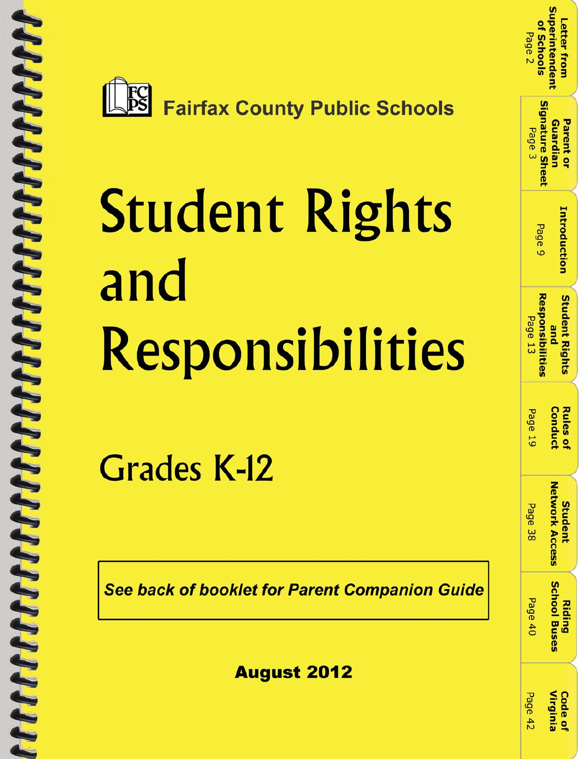



# **Student Rights** and Responsibilities

**Grades K-12** 

**See back of booklet for Parent Companion Guide** 

**August 2012** 

| of Schools<br>Page <sub>2</sub> | <b>Superintenden</b><br>Letter from |
|---------------------------------|-------------------------------------|
| Signature Sheet<br>Page 3       | Guardian<br>Parent or               |
| Page 9                          | <b>Introduction</b>                 |
| esponsibiliti<br>Page 13        | <b>Student Right</b><br>pue         |
| age                             | <b>Rules of</b><br>puquc            |
| <b>Page 38</b>                  | letwork Access<br>Student           |
| Page 40                         | <b>School Buses</b>                 |
| 290e45                          | Code of<br>irgini                   |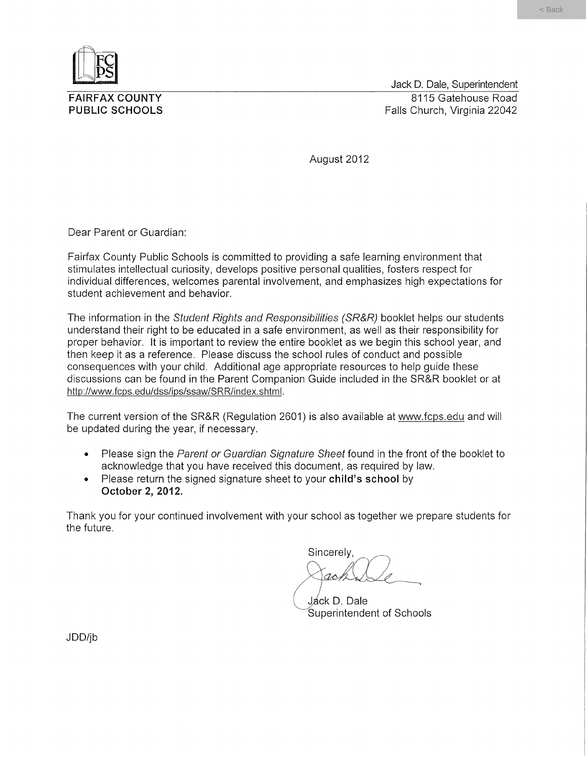

**FAIRFAX COUNTY PUBLIC SCHOOLS** 

Jack D. Dale, Superintendent 8115 Gatehouse Road Falls Church, Virginia 22042

August 2012

Dear Parent or Guardian:

Fairfax County Public Schools is committed to providing a safe learning environment that stimulates intellectual curiosity, develops positive personal qualities, fosters respect for individual differences, welcomes parental involvement, and emphasizes high expectations for student achievement and behavior.

The information in the Student Rights and Responsibilities (SR&R) booklet helps our students understand their right to be educated in a safe environment, as well as their responsibility for proper behavior. It is important to review the entire booklet as we begin this school year, and then keep it as a reference. Please discuss the school rules of conduct and possible consequences with your child. Additional age appropriate resources to help quide these discussions can be found in the Parent Companion Guide included in the SR&R booklet or at http://www.fcps.edu/dss/ips/ssaw/SRR/index.shtml.

The current version of the SR&R (Regulation 2601) is also available at www.fcps.edu and will be updated during the year, if necessary.

- Please sign the Parent or Guardian Signature Sheet found in the front of the booklet to  $\bullet$ acknowledge that you have received this document, as required by law.
- Please return the signed signature sheet to your child's school by  $\bullet$ October 2, 2012.

Thank you for your continued involvement with your school as together we prepare students for the future.

Sincerely,  $\Lambda$ 

Jáck D. Dale Superintendent of Schools

JDD/jb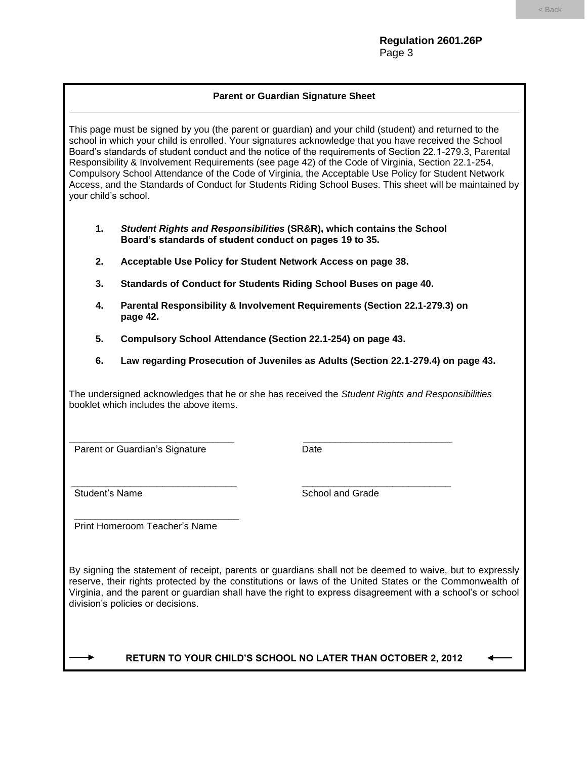# **Parent or Guardian Signature Sheet**

This page must be signed by you (the parent or guardian) and your child (student) and returned to the school in which your child is enrolled. Your signatures acknowledge that you have received the School Board's standards of student conduct and the notice of the requirements of Section 22.1-279.3, Parental Responsibility & Involvement Requirements (see page 42) of the Code of Virginia, Section 22.1-254, Compulsory School Attendance of the Code of Virginia, the Acceptable Use Policy for Student Network Access, and the Standards of Conduct for Students Riding School Buses. This sheet will be maintained by your child's school.

- **1.** *Student Rights and Responsibilities* **(SR&R), which contains the School Board's standards of student conduct on pages 19 to 35.**
- **2. Acceptable Use Policy for Student Network Access on page 38.**
- **3. Standards of Conduct for Students Riding School Buses on page 40.**
- **4. Parental Responsibility & Involvement Requirements (Section 22.1-279.3) on page 42.**
- **5. Compulsory School Attendance (Section 22.1-254) on page 43.**

\_\_\_\_\_\_\_\_\_\_\_\_\_\_\_\_\_\_\_\_\_\_\_\_\_\_\_\_\_\_\_ \_\_\_\_\_\_\_\_\_\_\_\_\_\_\_\_\_\_\_\_\_\_\_\_\_\_\_\_

\_\_\_\_\_\_\_\_\_\_\_\_\_\_\_\_\_\_\_\_\_\_\_\_\_\_\_\_\_\_\_ \_\_\_\_\_\_\_\_\_\_\_\_\_\_\_\_\_\_\_\_\_\_\_\_\_\_\_\_

**6. Law regarding Prosecution of Juveniles as Adults (Section 22.1-279.4) on page 43.**

The undersigned acknowledges that he or she has received the *Student Rights and Responsibilities*  booklet which includes the above items.

Parent or Guardian's Signature Date

Student's Name Student's Name Student's Name Student's Name School and Grade

 \_\_\_\_\_\_\_\_\_\_\_\_\_\_\_\_\_\_\_\_\_\_\_\_\_\_\_\_\_\_\_ Print Homeroom Teacher's Name

By signing the statement of receipt, parents or guardians shall not be deemed to waive, but to expressly reserve, their rights protected by the constitutions or laws of the United States or the Commonwealth of Virginia, and the parent or guardian shall have the right to express disagreement with a school's or school division's policies or decisions.

# **RETURN TO YOUR CHILD'S SCHOOL NO LATER THAN OCTOBER 2, 2012**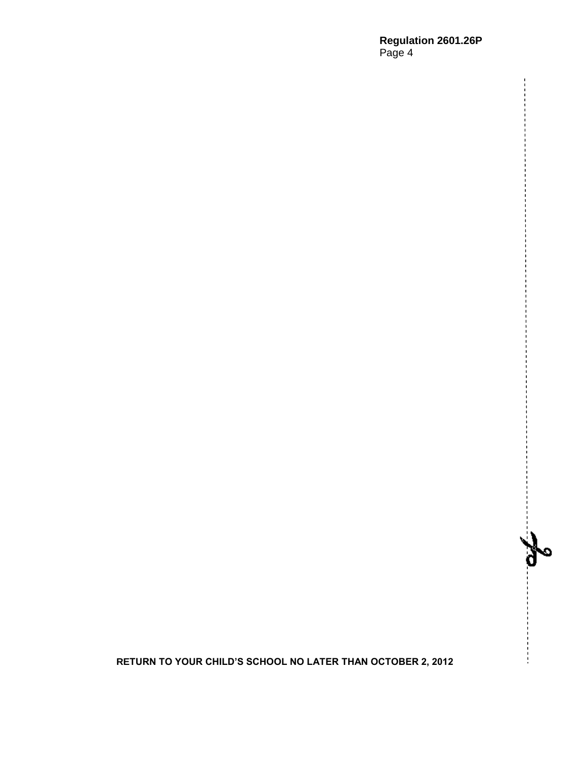# **Regulation 2601.26P** Page 4

 $\mathbf{a}$ 

**RETURN TO YOUR CHILD'S SCHOOL NO LATER THAN OCTOBER 2, 2012**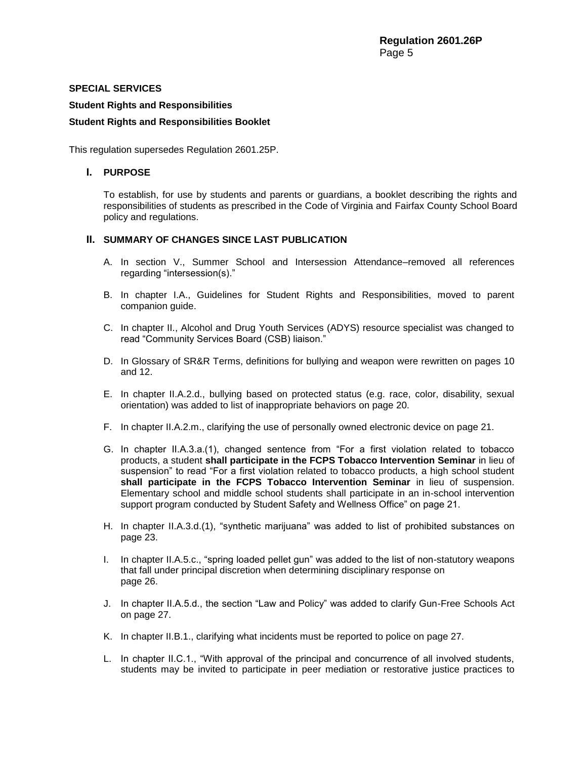# **SPECIAL SERVICES**

# **Student Rights and Responsibilities**

# **Student Rights and Responsibilities Booklet**

This regulation supersedes Regulation 2601.25P.

# **I. PURPOSE**

To establish, for use by students and parents or guardians, a booklet describing the rights and responsibilities of students as prescribed in the Code of Virginia and Fairfax County School Board policy and regulations.

# **II. SUMMARY OF CHANGES SINCE LAST PUBLICATION**

- A. In section V., Summer School and Intersession Attendance–removed all references regarding "intersession(s)."
- B. In chapter I.A., Guidelines for Student Rights and Responsibilities, moved to parent companion guide.
- C. In chapter II., Alcohol and Drug Youth Services (ADYS) resource specialist was changed to read "Community Services Board (CSB) liaison."
- D. In Glossary of SR&R Terms, definitions for bullying and weapon were rewritten on pages 10 and 12.
- E. In chapter II.A.2.d., bullying based on protected status (e.g. race, color, disability, sexual orientation) was added to list of inappropriate behaviors on page 20.
- F. In chapter II.A.2.m., clarifying the use of personally owned electronic device on page 21.
- G. In chapter II.A.3.a.(1), changed sentence from "For a first violation related to tobacco products, a student **shall participate in the FCPS Tobacco Intervention Seminar** in lieu of suspension" to read "For a first violation related to tobacco products, a high school student **shall participate in the FCPS Tobacco Intervention Seminar** in lieu of suspension. Elementary school and middle school students shall participate in an in-school intervention support program conducted by Student Safety and Wellness Office" on page 21.
- H. In chapter II.A.3.d.(1), "synthetic marijuana" was added to list of prohibited substances on page 23.
- I. In chapter II.A.5.c., "spring loaded pellet gun" was added to the list of non-statutory weapons that fall under principal discretion when determining disciplinary response on page 26.
- J. In chapter II.A.5.d., the section "Law and Policy" was added to clarify Gun-Free Schools Act on page 27.
- K. In chapter II.B.1., clarifying what incidents must be reported to police on page 27.
- L. In chapter II.C.1., "With approval of the principal and concurrence of all involved students, students may be invited to participate in peer mediation or restorative justice practices to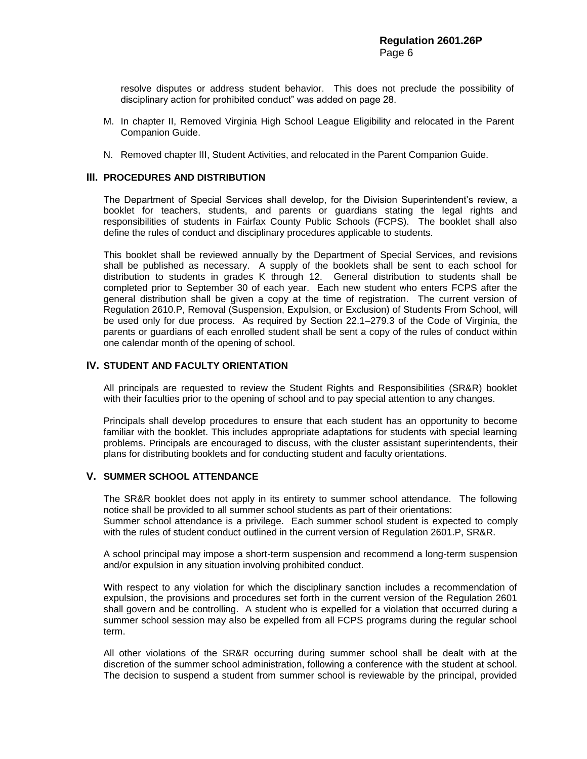resolve disputes or address student behavior. This does not preclude the possibility of disciplinary action for prohibited conduct" was added on page 28.

- M. In chapter II, Removed Virginia High School League Eligibility and relocated in the Parent Companion Guide.
- N. Removed chapter III, Student Activities, and relocated in the Parent Companion Guide.

#### **III. PROCEDURES AND DISTRIBUTION**

The Department of Special Services shall develop, for the Division Superintendent's review, a booklet for teachers, students, and parents or guardians stating the legal rights and responsibilities of students in Fairfax County Public Schools (FCPS). The booklet shall also define the rules of conduct and disciplinary procedures applicable to students.

This booklet shall be reviewed annually by the Department of Special Services, and revisions shall be published as necessary. A supply of the booklets shall be sent to each school for distribution to students in grades K through 12. General distribution to students shall be completed prior to September 30 of each year. Each new student who enters FCPS after the general distribution shall be given a copy at the time of registration. The current version of Regulation 2610.P, Removal (Suspension, Expulsion, or Exclusion) of Students From School, will be used only for due process. As required by Section 22.1–279.3 of the Code of Virginia, the parents or guardians of each enrolled student shall be sent a copy of the rules of conduct within one calendar month of the opening of school.

# **IV. STUDENT AND FACULTY ORIENTATION**

All principals are requested to review the Student Rights and Responsibilities (SR&R) booklet with their faculties prior to the opening of school and to pay special attention to any changes.

Principals shall develop procedures to ensure that each student has an opportunity to become familiar with the booklet. This includes appropriate adaptations for students with special learning problems. Principals are encouraged to discuss, with the cluster assistant superintendents, their plans for distributing booklets and for conducting student and faculty orientations.

# **V. SUMMER SCHOOL ATTENDANCE**

The SR&R booklet does not apply in its entirety to summer school attendance. The following notice shall be provided to all summer school students as part of their orientations: Summer school attendance is a privilege. Each summer school student is expected to comply with the rules of student conduct outlined in the current version of Regulation 2601.P, SR&R.

A school principal may impose a short-term suspension and recommend a long-term suspension and/or expulsion in any situation involving prohibited conduct.

With respect to any violation for which the disciplinary sanction includes a recommendation of expulsion, the provisions and procedures set forth in the current version of the Regulation 2601 shall govern and be controlling. A student who is expelled for a violation that occurred during a summer school session may also be expelled from all FCPS programs during the regular school term.

All other violations of the SR&R occurring during summer school shall be dealt with at the discretion of the summer school administration, following a conference with the student at school. The decision to suspend a student from summer school is reviewable by the principal, provided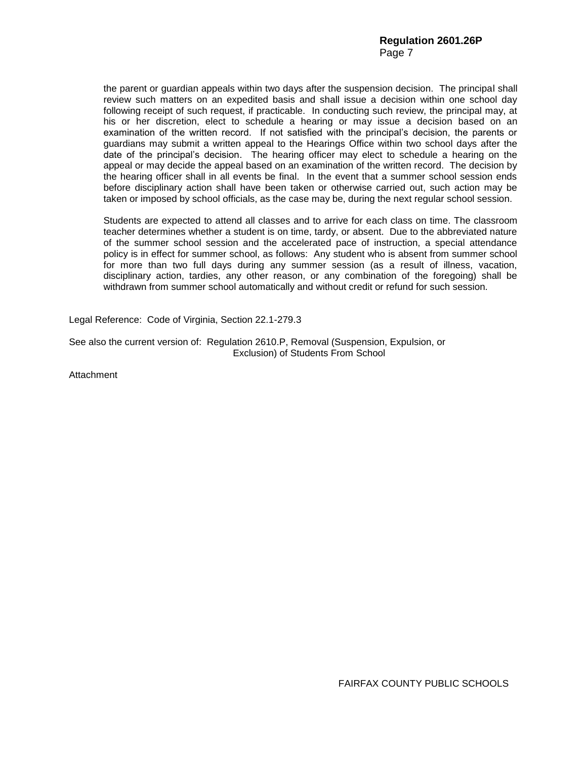the parent or guardian appeals within two days after the suspension decision. The principal shall review such matters on an expedited basis and shall issue a decision within one school day following receipt of such request, if practicable. In conducting such review, the principal may, at his or her discretion, elect to schedule a hearing or may issue a decision based on an examination of the written record. If not satisfied with the principal's decision, the parents or guardians may submit a written appeal to the Hearings Office within two school days after the date of the principal's decision. The hearing officer may elect to schedule a hearing on the appeal or may decide the appeal based on an examination of the written record. The decision by the hearing officer shall in all events be final. In the event that a summer school session ends before disciplinary action shall have been taken or otherwise carried out, such action may be taken or imposed by school officials, as the case may be, during the next regular school session.

Students are expected to attend all classes and to arrive for each class on time. The classroom teacher determines whether a student is on time, tardy, or absent. Due to the abbreviated nature of the summer school session and the accelerated pace of instruction, a special attendance policy is in effect for summer school, as follows: Any student who is absent from summer school for more than two full days during any summer session (as a result of illness, vacation, disciplinary action, tardies, any other reason, or any combination of the foregoing) shall be withdrawn from summer school automatically and without credit or refund for such session.

Legal Reference: Code of Virginia, Section 22.1-279.3

See also the current version of: Regulation 2610.P, Removal (Suspension, Expulsion, or Exclusion) of Students From School

**Attachment** 

FAIRFAX COUNTY PUBLIC SCHOOLS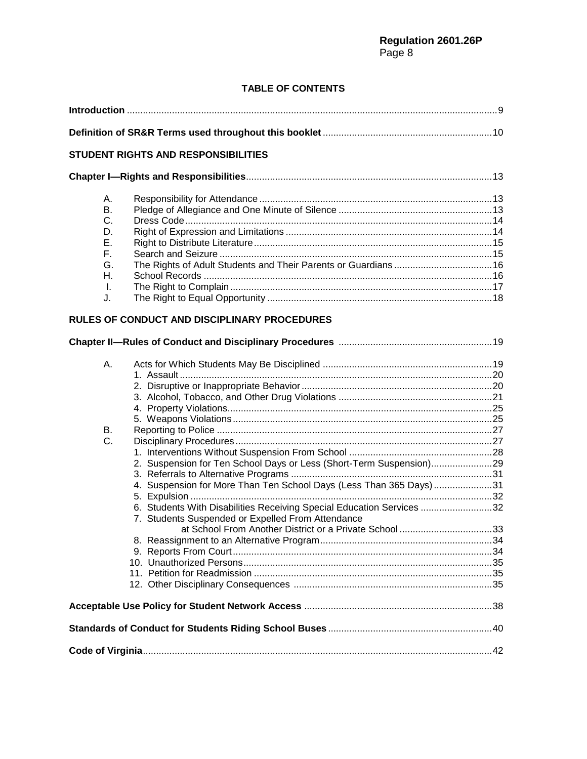# **TABLE OF CONTENTS**

|  | <b>STUDENT RIGHTS AND RESPONSIBILITIES</b>                                                                                                                                                                                                                                          |  |  |  |
|--|-------------------------------------------------------------------------------------------------------------------------------------------------------------------------------------------------------------------------------------------------------------------------------------|--|--|--|
|  |                                                                                                                                                                                                                                                                                     |  |  |  |
|  | А.<br>Β.<br>C.<br>D.<br>Е.<br>F.<br>G.<br>Η.<br>I.<br>J.<br><b>RULES OF CONDUCT AND DISCIPLINARY PROCEDURES</b>                                                                                                                                                                     |  |  |  |
|  |                                                                                                                                                                                                                                                                                     |  |  |  |
|  | Α.                                                                                                                                                                                                                                                                                  |  |  |  |
|  | В.<br>C.<br>2. Suspension for Ten School Days or Less (Short-Term Suspension)29<br>4. Suspension for More Than Ten School Days (Less Than 365 Days)31<br>6. Students With Disabilities Receiving Special Education Services 32<br>7. Students Suspended or Expelled From Attendance |  |  |  |
|  |                                                                                                                                                                                                                                                                                     |  |  |  |
|  |                                                                                                                                                                                                                                                                                     |  |  |  |
|  |                                                                                                                                                                                                                                                                                     |  |  |  |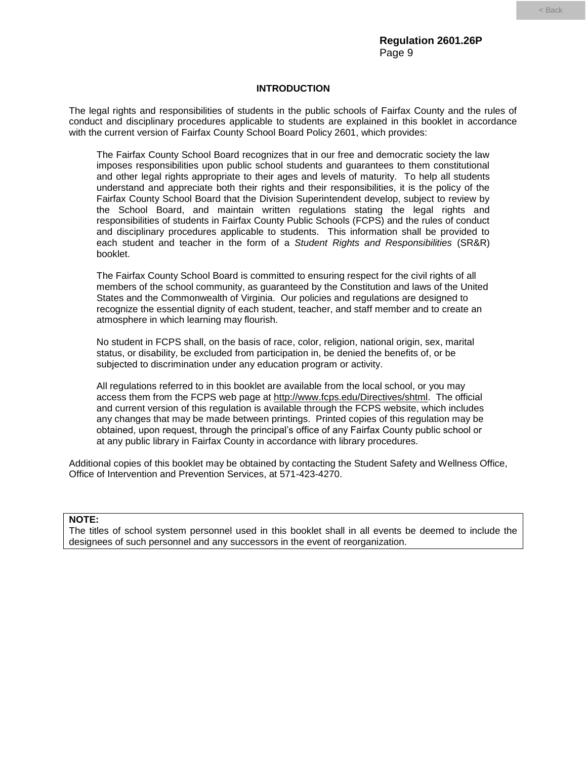#### **INTRODUCTION**

The legal rights and responsibilities of students in the public schools of Fairfax County and the rules of conduct and disciplinary procedures applicable to students are explained in this booklet in accordance with the current version of Fairfax County School Board Policy 2601, which provides:

The Fairfax County School Board recognizes that in our free and democratic society the law imposes responsibilities upon public school students and guarantees to them constitutional and other legal rights appropriate to their ages and levels of maturity. To help all students understand and appreciate both their rights and their responsibilities, it is the policy of the Fairfax County School Board that the Division Superintendent develop, subject to review by the School Board, and maintain written regulations stating the legal rights and responsibilities of students in Fairfax County Public Schools (FCPS) and the rules of conduct and disciplinary procedures applicable to students. This information shall be provided to each student and teacher in the form of a *Student Rights and Responsibilities* (SR&R) booklet.

The Fairfax County School Board is committed to ensuring respect for the civil rights of all members of the school community, as guaranteed by the Constitution and laws of the United States and the Commonwealth of Virginia. Our policies and regulations are designed to recognize the essential dignity of each student, teacher, and staff member and to create an atmosphere in which learning may flourish.

No student in FCPS shall, on the basis of race, color, religion, national origin, sex, marital status, or disability, be excluded from participation in, be denied the benefits of, or be subjected to discrimination under any education program or activity.

All regulations referred to in this booklet are available from the local school, or you may access them from the FCPS web page at [http://www.fcps.edu/Directives/shtml.](http://www.fcps.edu/Directives/shtml) The official and current version of this regulation is available through the FCPS website, which includes any changes that may be made between printings. Printed copies of this regulation may be obtained, upon request, through the principal's office of any Fairfax County public school or at any public library in Fairfax County in accordance with library procedures.

Additional copies of this booklet may be obtained by contacting the Student Safety and Wellness Office, Office of Intervention and Prevention Services, at 571-423-4270.

#### **NOTE:**

The titles of school system personnel used in this booklet shall in all events be deemed to include the designees of such personnel and any successors in the event of reorganization.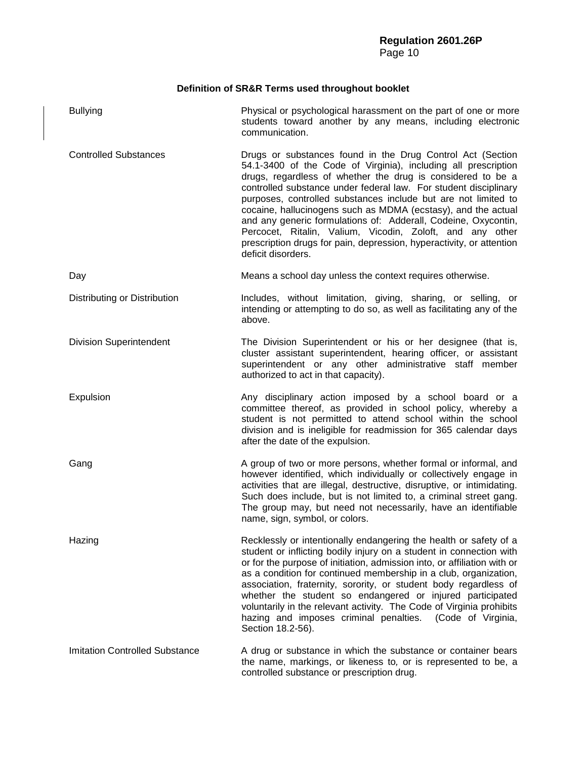# **Definition of SR&R Terms used throughout booklet**

| <b>Bullying</b>                       | Physical or psychological harassment on the part of one or more<br>students toward another by any means, including electronic<br>communication.                                                                                                                                                                                                                                                                                                                                                                                                                                                                                 |
|---------------------------------------|---------------------------------------------------------------------------------------------------------------------------------------------------------------------------------------------------------------------------------------------------------------------------------------------------------------------------------------------------------------------------------------------------------------------------------------------------------------------------------------------------------------------------------------------------------------------------------------------------------------------------------|
| <b>Controlled Substances</b>          | Drugs or substances found in the Drug Control Act (Section<br>54.1-3400 of the Code of Virginia), including all prescription<br>drugs, regardless of whether the drug is considered to be a<br>controlled substance under federal law. For student disciplinary<br>purposes, controlled substances include but are not limited to<br>cocaine, hallucinogens such as MDMA (ecstasy), and the actual<br>and any generic formulations of: Adderall, Codeine, Oxycontin,<br>Percocet, Ritalin, Valium, Vicodin, Zoloft, and any other<br>prescription drugs for pain, depression, hyperactivity, or attention<br>deficit disorders. |
| Day                                   | Means a school day unless the context requires otherwise.                                                                                                                                                                                                                                                                                                                                                                                                                                                                                                                                                                       |
| Distributing or Distribution          | Includes, without limitation, giving, sharing, or selling, or<br>intending or attempting to do so, as well as facilitating any of the<br>above.                                                                                                                                                                                                                                                                                                                                                                                                                                                                                 |
| <b>Division Superintendent</b>        | The Division Superintendent or his or her designee (that is,<br>cluster assistant superintendent, hearing officer, or assistant<br>superintendent or any other administrative staff member<br>authorized to act in that capacity).                                                                                                                                                                                                                                                                                                                                                                                              |
| Expulsion                             | Any disciplinary action imposed by a school board or a<br>committee thereof, as provided in school policy, whereby a<br>student is not permitted to attend school within the school<br>division and is ineligible for readmission for 365 calendar days<br>after the date of the expulsion.                                                                                                                                                                                                                                                                                                                                     |
| Gang                                  | A group of two or more persons, whether formal or informal, and<br>however identified, which individually or collectively engage in<br>activities that are illegal, destructive, disruptive, or intimidating.<br>Such does include, but is not limited to, a criminal street gang.<br>The group may, but need not necessarily, have an identifiable<br>name, sign, symbol, or colors.                                                                                                                                                                                                                                           |
| Hazing                                | Recklessly or intentionally endangering the health or safety of a<br>student or inflicting bodily injury on a student in connection with<br>or for the purpose of initiation, admission into, or affiliation with or<br>as a condition for continued membership in a club, organization,<br>association, fraternity, sorority, or student body regardless of<br>whether the student so endangered or injured participated<br>voluntarily in the relevant activity. The Code of Virginia prohibits<br>hazing and imposes criminal penalties.<br>(Code of Virginia,<br>Section 18.2-56).                                          |
| <b>Imitation Controlled Substance</b> | A drug or substance in which the substance or container bears<br>the name, markings, or likeness to, or is represented to be, a<br>controlled substance or prescription drug.                                                                                                                                                                                                                                                                                                                                                                                                                                                   |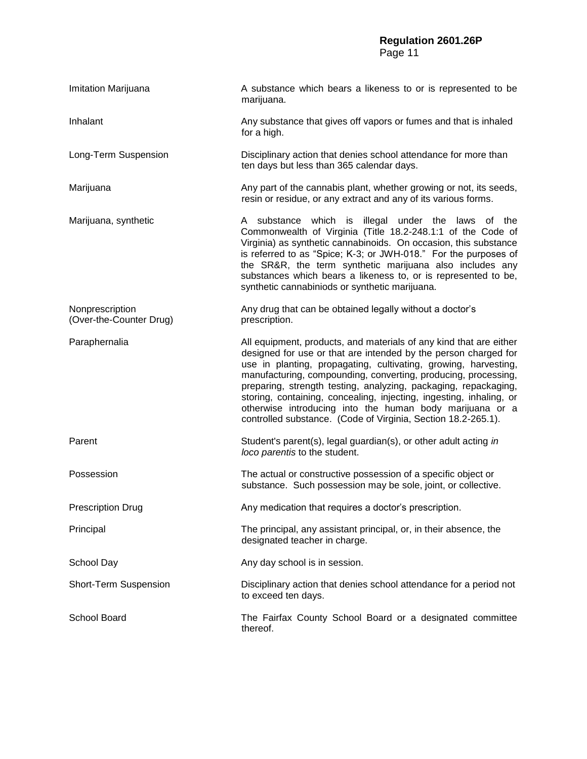# **Regulation 2601.26P** Page 11

| Imitation Marijuana                        | A substance which bears a likeness to or is represented to be<br>marijuana.                                                                                                                                                                                                                                                                                                                                                                                                                                                                       |
|--------------------------------------------|---------------------------------------------------------------------------------------------------------------------------------------------------------------------------------------------------------------------------------------------------------------------------------------------------------------------------------------------------------------------------------------------------------------------------------------------------------------------------------------------------------------------------------------------------|
| Inhalant                                   | Any substance that gives off vapors or fumes and that is inhaled<br>for a high.                                                                                                                                                                                                                                                                                                                                                                                                                                                                   |
| Long-Term Suspension                       | Disciplinary action that denies school attendance for more than<br>ten days but less than 365 calendar days.                                                                                                                                                                                                                                                                                                                                                                                                                                      |
| Marijuana                                  | Any part of the cannabis plant, whether growing or not, its seeds,<br>resin or residue, or any extract and any of its various forms.                                                                                                                                                                                                                                                                                                                                                                                                              |
| Marijuana, synthetic                       | A substance which is illegal under the laws of the<br>Commonwealth of Virginia (Title 18.2-248.1:1 of the Code of<br>Virginia) as synthetic cannabinoids. On occasion, this substance<br>is referred to as "Spice; K-3; or JWH-018." For the purposes of<br>the SR&R, the term synthetic marijuana also includes any<br>substances which bears a likeness to, or is represented to be,<br>synthetic cannabiniods or synthetic marijuana.                                                                                                          |
| Nonprescription<br>(Over-the-Counter Drug) | Any drug that can be obtained legally without a doctor's<br>prescription.                                                                                                                                                                                                                                                                                                                                                                                                                                                                         |
| Paraphernalia                              | All equipment, products, and materials of any kind that are either<br>designed for use or that are intended by the person charged for<br>use in planting, propagating, cultivating, growing, harvesting,<br>manufacturing, compounding, converting, producing, processing,<br>preparing, strength testing, analyzing, packaging, repackaging,<br>storing, containing, concealing, injecting, ingesting, inhaling, or<br>otherwise introducing into the human body marijuana or a<br>controlled substance. (Code of Virginia, Section 18.2-265.1). |
| Parent                                     | Student's parent(s), legal guardian(s), or other adult acting in<br>loco parentis to the student.                                                                                                                                                                                                                                                                                                                                                                                                                                                 |
| Possession                                 | The actual or constructive possession of a specific object or<br>substance. Such possession may be sole, joint, or collective.                                                                                                                                                                                                                                                                                                                                                                                                                    |
| <b>Prescription Drug</b>                   | Any medication that requires a doctor's prescription.                                                                                                                                                                                                                                                                                                                                                                                                                                                                                             |
| Principal                                  | The principal, any assistant principal, or, in their absence, the<br>designated teacher in charge.                                                                                                                                                                                                                                                                                                                                                                                                                                                |
| School Day                                 | Any day school is in session.                                                                                                                                                                                                                                                                                                                                                                                                                                                                                                                     |
| Short-Term Suspension                      | Disciplinary action that denies school attendance for a period not<br>to exceed ten days.                                                                                                                                                                                                                                                                                                                                                                                                                                                         |
| School Board                               | The Fairfax County School Board or a designated committee<br>thereof.                                                                                                                                                                                                                                                                                                                                                                                                                                                                             |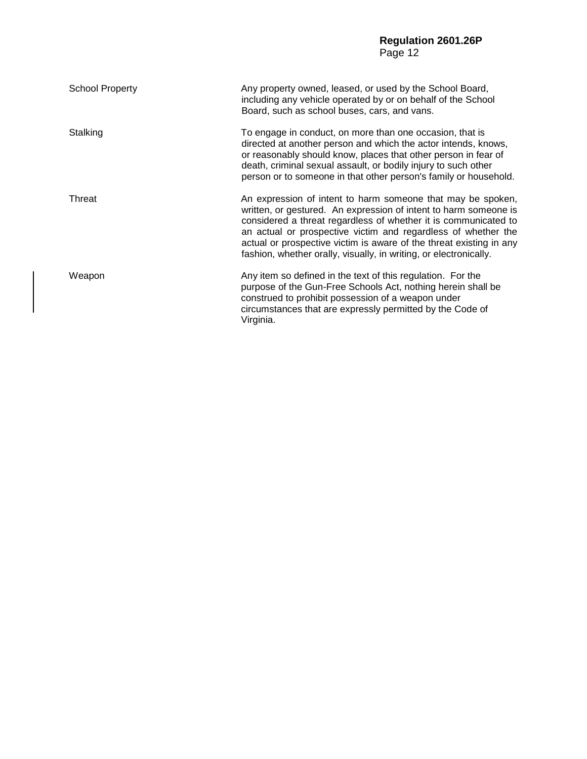# **Regulation 2601.26P** Page 12

| <b>School Property</b> | Any property owned, leased, or used by the School Board,<br>including any vehicle operated by or on behalf of the School<br>Board, such as school buses, cars, and vans.                                                                                                                                                                                                                                        |
|------------------------|-----------------------------------------------------------------------------------------------------------------------------------------------------------------------------------------------------------------------------------------------------------------------------------------------------------------------------------------------------------------------------------------------------------------|
| Stalking               | To engage in conduct, on more than one occasion, that is<br>directed at another person and which the actor intends, knows,<br>or reasonably should know, places that other person in fear of<br>death, criminal sexual assault, or bodily injury to such other<br>person or to someone in that other person's family or household.                                                                              |
| Threat                 | An expression of intent to harm someone that may be spoken,<br>written, or gestured. An expression of intent to harm someone is<br>considered a threat regardless of whether it is communicated to<br>an actual or prospective victim and regardless of whether the<br>actual or prospective victim is aware of the threat existing in any<br>fashion, whether orally, visually, in writing, or electronically. |
| Weapon                 | Any item so defined in the text of this regulation. For the<br>purpose of the Gun-Free Schools Act, nothing herein shall be<br>construed to prohibit possession of a weapon under<br>circumstances that are expressly permitted by the Code of<br>Virginia.                                                                                                                                                     |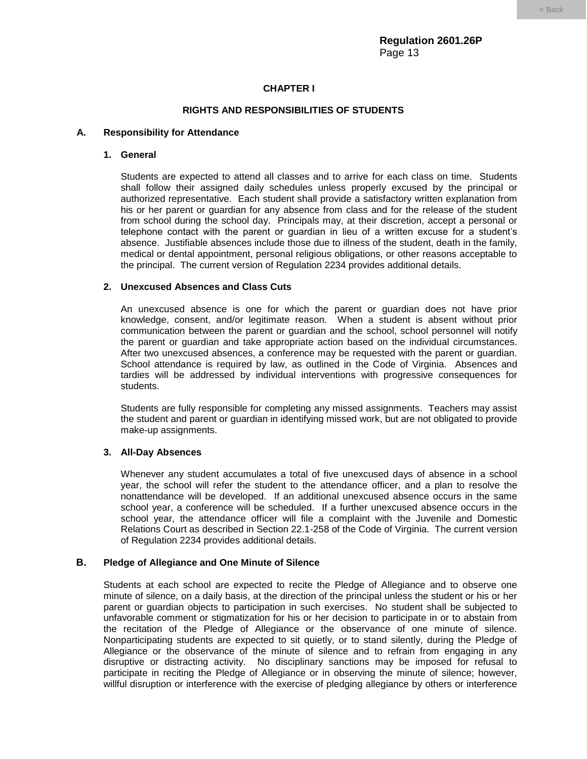# **CHAPTER I**

# **RIGHTS AND RESPONSIBILITIES OF STUDENTS**

# **A. Responsibility for Attendance**

## **1. General**

Students are expected to attend all classes and to arrive for each class on time. Students shall follow their assigned daily schedules unless properly excused by the principal or authorized representative. Each student shall provide a satisfactory written explanation from his or her parent or guardian for any absence from class and for the release of the student from school during the school day. Principals may, at their discretion, accept a personal or telephone contact with the parent or guardian in lieu of a written excuse for a student's absence. Justifiable absences include those due to illness of the student, death in the family, medical or dental appointment, personal religious obligations, or other reasons acceptable to the principal. The current version of Regulation 2234 provides additional details.

# **2. Unexcused Absences and Class Cuts**

An unexcused absence is one for which the parent or guardian does not have prior knowledge, consent, and/or legitimate reason. When a student is absent without prior communication between the parent or guardian and the school, school personnel will notify the parent or guardian and take appropriate action based on the individual circumstances. After two unexcused absences, a conference may be requested with the parent or guardian. School attendance is required by law, as outlined in the Code of Virginia. Absences and tardies will be addressed by individual interventions with progressive consequences for students.

Students are fully responsible for completing any missed assignments. Teachers may assist the student and parent or guardian in identifying missed work, but are not obligated to provide make-up assignments.

# **3. All-Day Absences**

Whenever any student accumulates a total of five unexcused days of absence in a school year, the school will refer the student to the attendance officer, and a plan to resolve the nonattendance will be developed. If an additional unexcused absence occurs in the same school year, a conference will be scheduled. If a further unexcused absence occurs in the school year, the attendance officer will file a complaint with the Juvenile and Domestic Relations Court as described in Section 22.1-258 of the Code of Virginia. The current version of Regulation 2234 provides additional details.

# **B. Pledge of Allegiance and One Minute of Silence**

Students at each school are expected to recite the Pledge of Allegiance and to observe one minute of silence, on a daily basis, at the direction of the principal unless the student or his or her parent or guardian objects to participation in such exercises. No student shall be subjected to unfavorable comment or stigmatization for his or her decision to participate in or to abstain from the recitation of the Pledge of Allegiance or the observance of one minute of silence. Nonparticipating students are expected to sit quietly, or to stand silently, during the Pledge of Allegiance or the observance of the minute of silence and to refrain from engaging in any disruptive or distracting activity. No disciplinary sanctions may be imposed for refusal to participate in reciting the Pledge of Allegiance or in observing the minute of silence; however, willful disruption or interference with the exercise of pledging allegiance by others or interference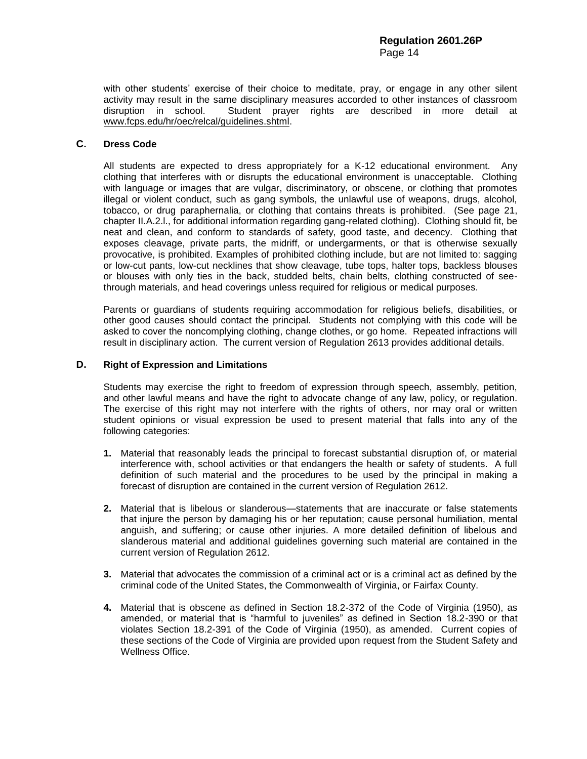with other students' exercise of their choice to meditate, pray, or engage in any other silent activity may result in the same disciplinary measures accorded to other instances of classroom disruption in school. Student prayer rights are described in more detail at [www.fcps.edu/hr/oec/relcal/guidelines.shtml.](http://www.fcps.edu/hr/oec/relcal/guidelines.shtml)

# **C. Dress Code**

All students are expected to dress appropriately for a K-12 educational environment. Any clothing that interferes with or disrupts the educational environment is unacceptable. Clothing with language or images that are vulgar, discriminatory, or obscene, or clothing that promotes illegal or violent conduct, such as gang symbols, the unlawful use of weapons, drugs, alcohol, tobacco, or drug paraphernalia, or clothing that contains threats is prohibited. (See page 21, chapter II.A.2.l., for additional information regarding gang-related clothing). Clothing should fit, be neat and clean, and conform to standards of safety, good taste, and decency. Clothing that exposes cleavage, private parts, the midriff, or undergarments, or that is otherwise sexually provocative, is prohibited. Examples of prohibited clothing include, but are not limited to: sagging or low-cut pants, low-cut necklines that show cleavage, tube tops, halter tops, backless blouses or blouses with only ties in the back, studded belts, chain belts, clothing constructed of seethrough materials, and head coverings unless required for religious or medical purposes.

Parents or guardians of students requiring accommodation for religious beliefs, disabilities, or other good causes should contact the principal. Students not complying with this code will be asked to cover the noncomplying clothing, change clothes, or go home. Repeated infractions will result in disciplinary action. The current version of Regulation 2613 provides additional details.

# **D. Right of Expression and Limitations**

Students may exercise the right to freedom of expression through speech, assembly, petition, and other lawful means and have the right to advocate change of any law, policy, or regulation. The exercise of this right may not interfere with the rights of others, nor may oral or written student opinions or visual expression be used to present material that falls into any of the following categories:

- **1.** Material that reasonably leads the principal to forecast substantial disruption of, or material interference with, school activities or that endangers the health or safety of students. A full definition of such material and the procedures to be used by the principal in making a forecast of disruption are contained in the current version of Regulation 2612.
- **2.** Material that is libelous or slanderous—statements that are inaccurate or false statements that injure the person by damaging his or her reputation; cause personal humiliation, mental anguish, and suffering; or cause other injuries. A more detailed definition of libelous and slanderous material and additional guidelines governing such material are contained in the current version of Regulation 2612.
- **3.** Material that advocates the commission of a criminal act or is a criminal act as defined by the criminal code of the United States, the Commonwealth of Virginia, or Fairfax County.
- **4.** Material that is obscene as defined in Section 18.2-372 of the Code of Virginia (1950), as amended, or material that is "harmful to juveniles" as defined in Section 18.2-390 or that violates Section 18.2-391 of the Code of Virginia (1950), as amended. Current copies of these sections of the Code of Virginia are provided upon request from the Student Safety and Wellness Office.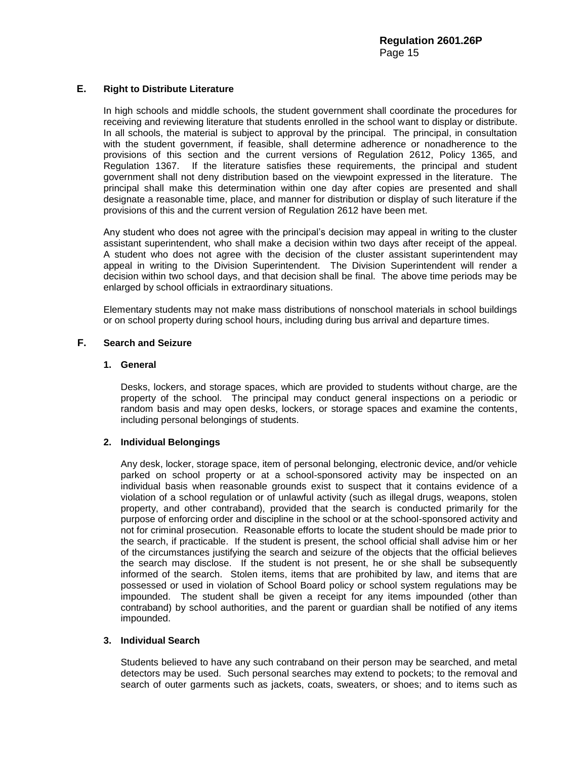# **E. Right to Distribute Literature**

In high schools and middle schools, the student government shall coordinate the procedures for receiving and reviewing literature that students enrolled in the school want to display or distribute. In all schools, the material is subject to approval by the principal. The principal, in consultation with the student government, if feasible, shall determine adherence or nonadherence to the provisions of this section and the current versions of Regulation 2612, Policy 1365, and Regulation 1367. If the literature satisfies these requirements, the principal and student government shall not deny distribution based on the viewpoint expressed in the literature. The principal shall make this determination within one day after copies are presented and shall designate a reasonable time, place, and manner for distribution or display of such literature if the provisions of this and the current version of Regulation 2612 have been met.

Any student who does not agree with the principal's decision may appeal in writing to the cluster assistant superintendent, who shall make a decision within two days after receipt of the appeal. A student who does not agree with the decision of the cluster assistant superintendent may appeal in writing to the Division Superintendent. The Division Superintendent will render a decision within two school days, and that decision shall be final. The above time periods may be enlarged by school officials in extraordinary situations.

Elementary students may not make mass distributions of nonschool materials in school buildings or on school property during school hours, including during bus arrival and departure times.

# **F. Search and Seizure**

# **1. General**

Desks, lockers, and storage spaces, which are provided to students without charge, are the property of the school. The principal may conduct general inspections on a periodic or random basis and may open desks, lockers, or storage spaces and examine the contents, including personal belongings of students.

# **2. Individual Belongings**

Any desk, locker, storage space, item of personal belonging, electronic device, and/or vehicle parked on school property or at a school-sponsored activity may be inspected on an individual basis when reasonable grounds exist to suspect that it contains evidence of a violation of a school regulation or of unlawful activity (such as illegal drugs, weapons, stolen property, and other contraband), provided that the search is conducted primarily for the purpose of enforcing order and discipline in the school or at the school-sponsored activity and not for criminal prosecution. Reasonable efforts to locate the student should be made prior to the search, if practicable. If the student is present, the school official shall advise him or her of the circumstances justifying the search and seizure of the objects that the official believes the search may disclose. If the student is not present, he or she shall be subsequently informed of the search. Stolen items, items that are prohibited by law, and items that are possessed or used in violation of School Board policy or school system regulations may be impounded. The student shall be given a receipt for any items impounded (other than contraband) by school authorities, and the parent or guardian shall be notified of any items impounded.

# **3. Individual Search**

Students believed to have any such contraband on their person may be searched, and metal detectors may be used. Such personal searches may extend to pockets; to the removal and search of outer garments such as jackets, coats, sweaters, or shoes; and to items such as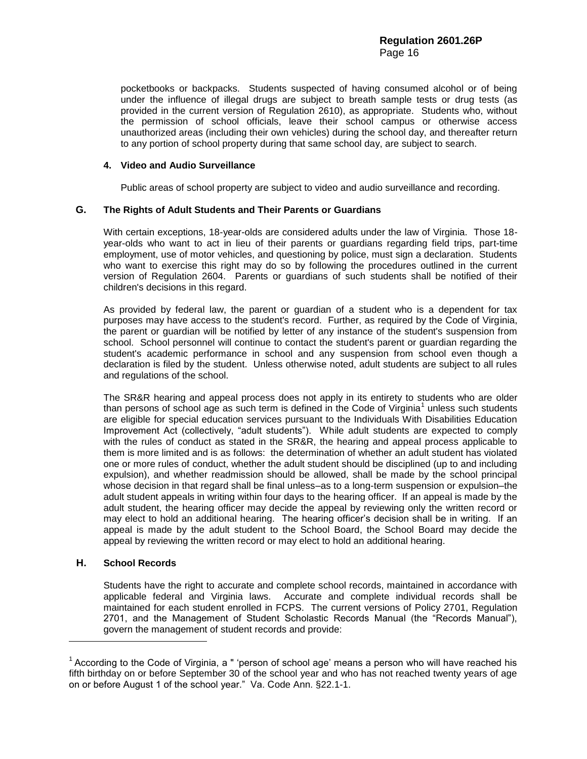pocketbooks or backpacks. Students suspected of having consumed alcohol or of being under the influence of illegal drugs are subject to breath sample tests or drug tests (as provided in the current version of Regulation 2610), as appropriate. Students who, without the permission of school officials, leave their school campus or otherwise access unauthorized areas (including their own vehicles) during the school day, and thereafter return to any portion of school property during that same school day, are subject to search.

# **4. Video and Audio Surveillance**

Public areas of school property are subject to video and audio surveillance and recording.

# **G. The Rights of Adult Students and Their Parents or Guardians**

With certain exceptions, 18-year-olds are considered adults under the law of Virginia. Those 18 year-olds who want to act in lieu of their parents or guardians regarding field trips, part-time employment, use of motor vehicles, and questioning by police, must sign a declaration. Students who want to exercise this right may do so by following the procedures outlined in the current version of Regulation 2604. Parents or guardians of such students shall be notified of their children's decisions in this regard.

As provided by federal law, the parent or guardian of a student who is a dependent for tax purposes may have access to the student's record. Further, as required by the Code of Virginia, the parent or guardian will be notified by letter of any instance of the student's suspension from school. School personnel will continue to contact the student's parent or guardian regarding the student's academic performance in school and any suspension from school even though a declaration is filed by the student. Unless otherwise noted, adult students are subject to all rules and regulations of the school.

The SR&R hearing and appeal process does not apply in its entirety to students who are older than persons of school age as such term is defined in the Code of Virginia<sup>1</sup> unless such students are eligible for special education services pursuant to the Individuals With Disabilities Education Improvement Act (collectively, "adult students"). While adult students are expected to comply with the rules of conduct as stated in the SR&R, the hearing and appeal process applicable to them is more limited and is as follows: the determination of whether an adult student has violated one or more rules of conduct, whether the adult student should be disciplined (up to and including expulsion), and whether readmission should be allowed, shall be made by the school principal whose decision in that regard shall be final unless–as to a long-term suspension or expulsion–the adult student appeals in writing within four days to the hearing officer. If an appeal is made by the adult student, the hearing officer may decide the appeal by reviewing only the written record or may elect to hold an additional hearing. The hearing officer's decision shall be in writing. If an appeal is made by the adult student to the School Board, the School Board may decide the appeal by reviewing the written record or may elect to hold an additional hearing.

# **H. School Records**

 $\overline{\phantom{a}}$ 

Students have the right to accurate and complete school records, maintained in accordance with applicable federal and Virginia laws. Accurate and complete individual records shall be maintained for each student enrolled in FCPS. The current versions of Policy 2701, Regulation 2701, and the Management of Student Scholastic Records Manual (the "Records Manual"), govern the management of student records and provide:

<sup>&</sup>lt;sup>1</sup> According to the Code of Virginia, a " 'person of school age' means a person who will have reached his fifth birthday on or before September 30 of the school year and who has not reached twenty years of age on or before August 1 of the school year." Va. Code Ann. §22.1-1.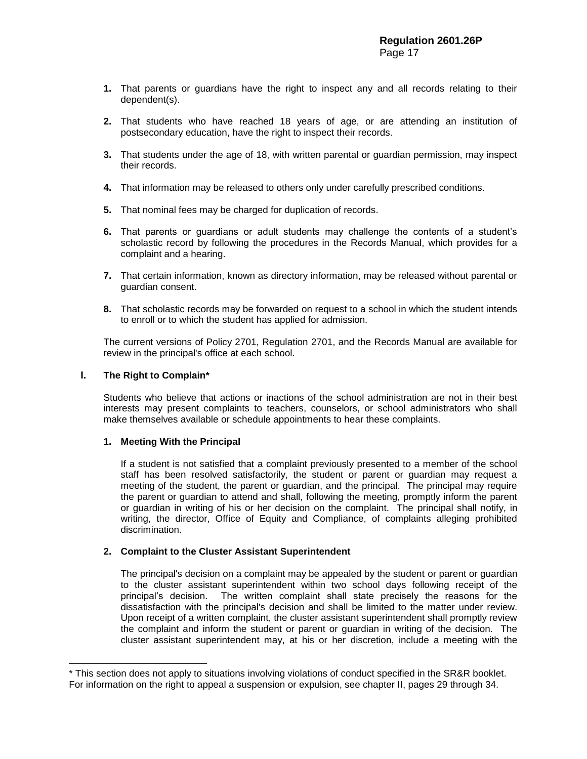- **1.** That parents or guardians have the right to inspect any and all records relating to their dependent(s).
- **2.** That students who have reached 18 years of age, or are attending an institution of postsecondary education, have the right to inspect their records.
- **3.** That students under the age of 18, with written parental or guardian permission, may inspect their records.
- **4.** That information may be released to others only under carefully prescribed conditions.
- **5.** That nominal fees may be charged for duplication of records.
- **6.** That parents or guardians or adult students may challenge the contents of a student's scholastic record by following the procedures in the Records Manual, which provides for a complaint and a hearing.
- **7.** That certain information, known as directory information, may be released without parental or guardian consent.
- **8.** That scholastic records may be forwarded on request to a school in which the student intends to enroll or to which the student has applied for admission.

The current versions of Policy 2701, Regulation 2701, and the Records Manual are available for review in the principal's office at each school.

#### **I. The Right to Complain\***

 $\overline{a}$ 

Students who believe that actions or inactions of the school administration are not in their best interests may present complaints to teachers, counselors, or school administrators who shall make themselves available or schedule appointments to hear these complaints.

#### **1. Meeting With the Principal**

If a student is not satisfied that a complaint previously presented to a member of the school staff has been resolved satisfactorily, the student or parent or guardian may request a meeting of the student, the parent or guardian, and the principal. The principal may require the parent or guardian to attend and shall, following the meeting, promptly inform the parent or guardian in writing of his or her decision on the complaint. The principal shall notify, in writing, the director, Office of Equity and Compliance, of complaints alleging prohibited discrimination.

# **2. Complaint to the Cluster Assistant Superintendent**

The principal's decision on a complaint may be appealed by the student or parent or guardian to the cluster assistant superintendent within two school days following receipt of the principal's decision. The written complaint shall state precisely the reasons for the dissatisfaction with the principal's decision and shall be limited to the matter under review. Upon receipt of a written complaint, the cluster assistant superintendent shall promptly review the complaint and inform the student or parent or guardian in writing of the decision. The cluster assistant superintendent may, at his or her discretion, include a meeting with the

<sup>\*</sup> This section does not apply to situations involving violations of conduct specified in the SR&R booklet. For information on the right to appeal a suspension or expulsion, see chapter II, pages 29 through 34.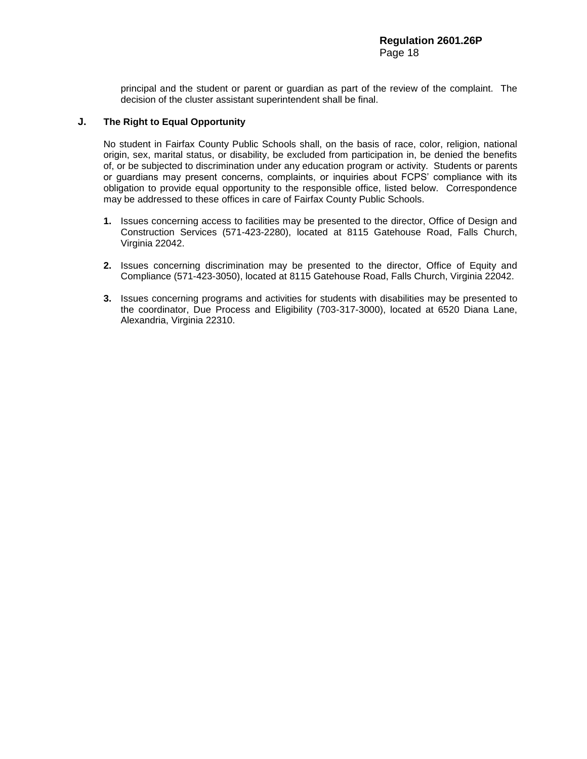principal and the student or parent or guardian as part of the review of the complaint. The decision of the cluster assistant superintendent shall be final.

# **J. The Right to Equal Opportunity**

No student in Fairfax County Public Schools shall, on the basis of race, color, religion, national origin, sex, marital status, or disability, be excluded from participation in, be denied the benefits of, or be subjected to discrimination under any education program or activity. Students or parents or guardians may present concerns, complaints, or inquiries about FCPS' compliance with its obligation to provide equal opportunity to the responsible office, listed below. Correspondence may be addressed to these offices in care of Fairfax County Public Schools.

- **1.** Issues concerning access to facilities may be presented to the director, Office of Design and Construction Services (571-423-2280), located at 8115 Gatehouse Road, Falls Church, Virginia 22042.
- **2.** Issues concerning discrimination may be presented to the director, Office of Equity and Compliance (571-423-3050), located at 8115 Gatehouse Road, Falls Church, Virginia 22042.
- **3.** Issues concerning programs and activities for students with disabilities may be presented to the coordinator, Due Process and Eligibility (703-317-3000), located at 6520 Diana Lane, Alexandria, Virginia 22310.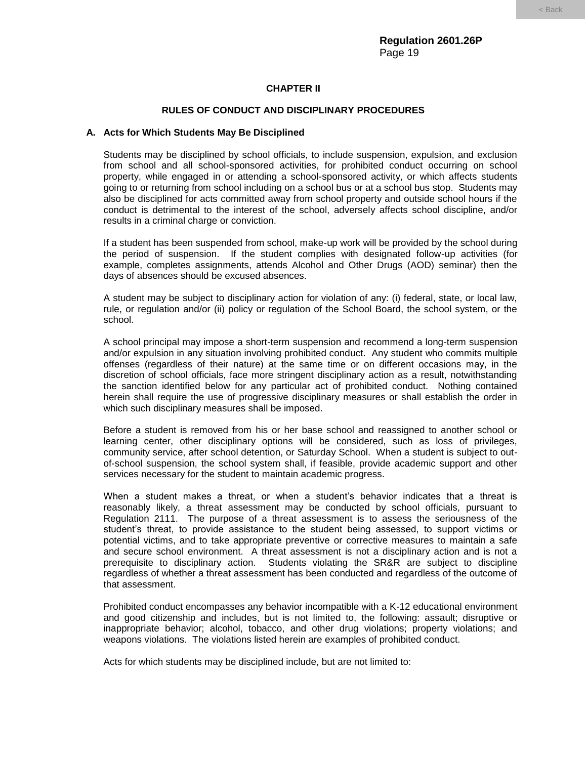# **CHAPTER II**

# **RULES OF CONDUCT AND DISCIPLINARY PROCEDURES**

#### **A. Acts for Which Students May Be Disciplined**

Students may be disciplined by school officials, to include suspension, expulsion, and exclusion from school and all school-sponsored activities, for prohibited conduct occurring on school property, while engaged in or attending a school-sponsored activity, or which affects students going to or returning from school including on a school bus or at a school bus stop. Students may also be disciplined for acts committed away from school property and outside school hours if the conduct is detrimental to the interest of the school, adversely affects school discipline, and/or results in a criminal charge or conviction.

If a student has been suspended from school, make-up work will be provided by the school during the period of suspension. If the student complies with designated follow-up activities (for example, completes assignments, attends Alcohol and Other Drugs (AOD) seminar) then the days of absences should be excused absences.

A student may be subject to disciplinary action for violation of any: (i) federal, state, or local law, rule, or regulation and/or (ii) policy or regulation of the School Board, the school system, or the school.

A school principal may impose a short-term suspension and recommend a long-term suspension and/or expulsion in any situation involving prohibited conduct. Any student who commits multiple offenses (regardless of their nature) at the same time or on different occasions may, in the discretion of school officials, face more stringent disciplinary action as a result, notwithstanding the sanction identified below for any particular act of prohibited conduct. Nothing contained herein shall require the use of progressive disciplinary measures or shall establish the order in which such disciplinary measures shall be imposed.

Before a student is removed from his or her base school and reassigned to another school or learning center, other disciplinary options will be considered, such as loss of privileges, community service, after school detention, or Saturday School. When a student is subject to outof-school suspension, the school system shall, if feasible, provide academic support and other services necessary for the student to maintain academic progress.

When a student makes a threat, or when a student's behavior indicates that a threat is reasonably likely, a threat assessment may be conducted by school officials, pursuant to Regulation 2111. The purpose of a threat assessment is to assess the seriousness of the student's threat, to provide assistance to the student being assessed, to support victims or potential victims, and to take appropriate preventive or corrective measures to maintain a safe and secure school environment. A threat assessment is not a disciplinary action and is not a prerequisite to disciplinary action. Students violating the SR&R are subject to discipline regardless of whether a threat assessment has been conducted and regardless of the outcome of that assessment.

Prohibited conduct encompasses any behavior incompatible with a K-12 educational environment and good citizenship and includes, but is not limited to, the following: assault; disruptive or inappropriate behavior; alcohol, tobacco, and other drug violations; property violations; and weapons violations. The violations listed herein are examples of prohibited conduct.

Acts for which students may be disciplined include, but are not limited to: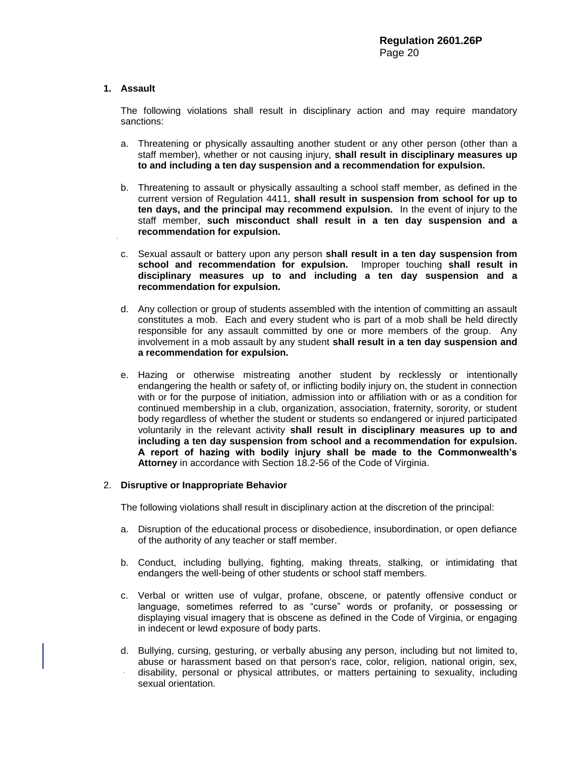# **1. Assault**

The following violations shall result in disciplinary action and may require mandatory sanctions:

- a. Threatening or physically assaulting another student or any other person (other than a staff member), whether or not causing injury, **shall result in disciplinary measures up to and including a ten day suspension and a recommendation for expulsion.**
- b. Threatening to assault or physically assaulting a school staff member, as defined in the current version of Regulation 4411, **shall result in suspension from school for up to ten days, and the principal may recommend expulsion.** In the event of injury to the staff member, **such misconduct shall result in a ten day suspension and a recommendation for expulsion.**
- c. Sexual assault or battery upon any person **shall result in a ten day suspension from school and recommendation for expulsion.** Improper touching **shall result in disciplinary measures up to and including a ten day suspension and a recommendation for expulsion.**
- d. Any collection or group of students assembled with the intention of committing an assault constitutes a mob. Each and every student who is part of a mob shall be held directly responsible for any assault committed by one or more members of the group. Any involvement in a mob assault by any student **shall result in a ten day suspension and a recommendation for expulsion.**
- e. Hazing or otherwise mistreating another student by recklessly or intentionally endangering the health or safety of, or inflicting bodily injury on, the student in connection with or for the purpose of initiation, admission into or affiliation with or as a condition for continued membership in a club, organization, association, fraternity, sorority, or student body regardless of whether the student or students so endangered or injured participated voluntarily in the relevant activity **shall result in disciplinary measures up to and including a ten day suspension from school and a recommendation for expulsion. A report of hazing with bodily injury shall be made to the Commonwealth's Attorney** in accordance with Section 18.2-56 of the Code of Virginia.

# 2. **Disruptive or Inappropriate Behavior**

The following violations shall result in disciplinary action at the discretion of the principal:

- a. Disruption of the educational process or disobedience, insubordination, or open defiance of the authority of any teacher or staff member.
- b. Conduct, including bullying, fighting, making threats, stalking, or intimidating that endangers the well-being of other students or school staff members.
- c. Verbal or written use of vulgar, profane, obscene, or patently offensive conduct or language, sometimes referred to as "curse" words or profanity, or possessing or displaying visual imagery that is obscene as defined in the Code of Virginia, or engaging in indecent or lewd exposure of body parts.
- d. Bullying, cursing, gesturing, or verbally abusing any person, including but not limited to, abuse or harassment based on that person's race, color, religion, national origin, sex, disability, personal or physical attributes, or matters pertaining to sexuality, including sexual orientation.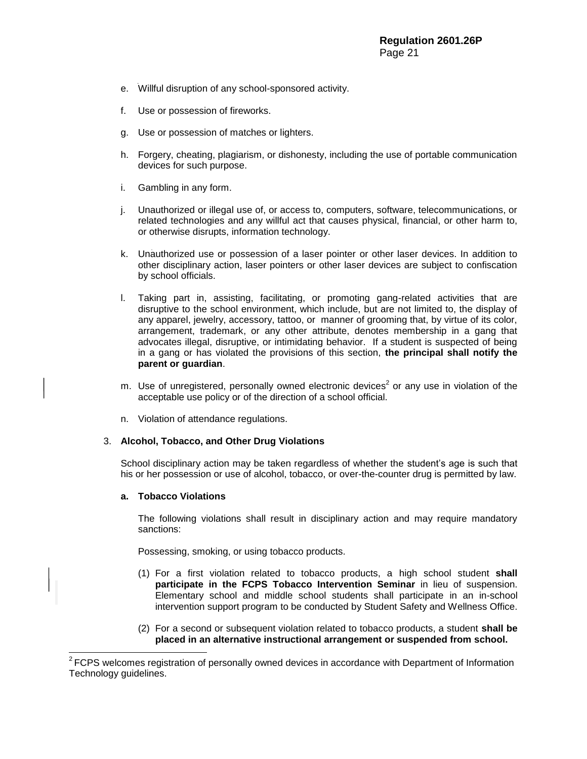- e. Willful disruption of any school-sponsored activity.
- f. Use or possession of fireworks.
- g. Use or possession of matches or lighters.
- h. Forgery, cheating, plagiarism, or dishonesty, including the use of portable communication devices for such purpose.
- i. Gambling in any form.
- j. Unauthorized or illegal use of, or access to, computers, software, telecommunications, or related technologies and any willful act that causes physical, financial, or other harm to, or otherwise disrupts, information technology.
- k. Unauthorized use or possession of a laser pointer or other laser devices. In addition to other disciplinary action, laser pointers or other laser devices are subject to confiscation by school officials.
- l. Taking part in, assisting, facilitating, or promoting gang-related activities that are disruptive to the school environment, which include, but are not limited to, the display of any apparel, jewelry, accessory, tattoo, or manner of grooming that, by virtue of its color, arrangement, trademark, or any other attribute, denotes membership in a gang that advocates illegal, disruptive, or intimidating behavior. If a student is suspected of being in a gang or has violated the provisions of this section, **the principal shall notify the parent or guardian**.
- m. Use of unregistered, personally owned electronic devices<sup>2</sup> or any use in violation of the acceptable use policy or of the direction of a school official.
- n. Violation of attendance regulations.

#### 3. **Alcohol, Tobacco, and Other Drug Violations**

School disciplinary action may be taken regardless of whether the student's age is such that his or her possession or use of alcohol, tobacco, or over-the-counter drug is permitted by law.

#### **a. Tobacco Violations**

l

The following violations shall result in disciplinary action and may require mandatory sanctions:

Possessing, smoking, or using tobacco products.

- (1) For a first violation related to tobacco products, a high school student **shall participate in the FCPS Tobacco Intervention Seminar** in lieu of suspension. Elementary school and middle school students shall participate in an in-school intervention support program to be conducted by Student Safety and Wellness Office.
- (2) For a second or subsequent violation related to tobacco products, a student **shall be placed in an alternative instructional arrangement or suspended from school.**

 $2$  FCPS welcomes registration of personally owned devices in accordance with Department of Information Technology guidelines.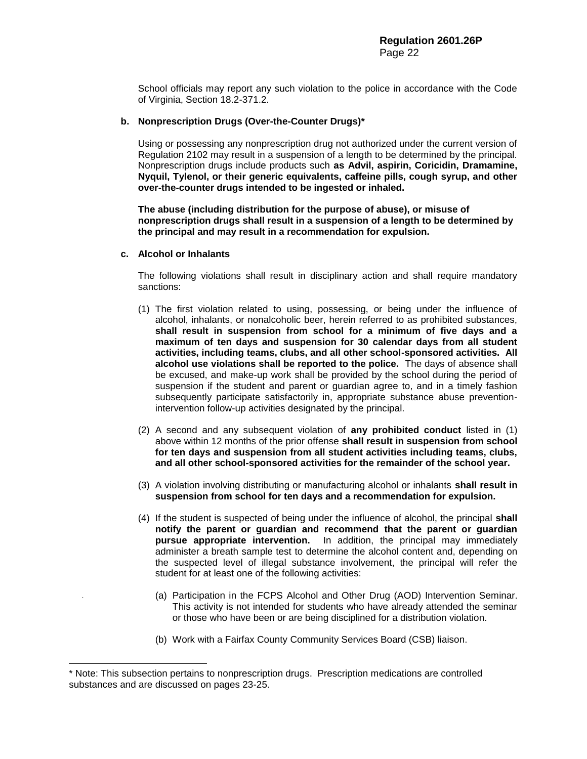School officials may report any such violation to the police in accordance with the Code of Virginia, Section 18.2-371.2.

#### **b. Nonprescription Drugs (Over-the-Counter Drugs)\***

Using or possessing any nonprescription drug not authorized under the current version of Regulation 2102 may result in a suspension of a length to be determined by the principal. Nonprescription drugs include products such **as Advil, aspirin, Coricidin, Dramamine, Nyquil, Tylenol, or their generic equivalents, caffeine pills, cough syrup, and other over-the-counter drugs intended to be ingested or inhaled.** 

**The abuse (including distribution for the purpose of abuse), or misuse of nonprescription drugs shall result in a suspension of a length to be determined by the principal and may result in a recommendation for expulsion.**

#### **c. Alcohol or Inhalants**

 $\overline{a}$ 

The following violations shall result in disciplinary action and shall require mandatory sanctions:

- (1) The first violation related to using, possessing, or being under the influence of alcohol, inhalants, or nonalcoholic beer, herein referred to as prohibited substances, **shall result in suspension from school for a minimum of five days and a maximum of ten days and suspension for 30 calendar days from all student activities, including teams, clubs, and all other school-sponsored activities. All alcohol use violations shall be reported to the police.** The days of absence shall be excused, and make-up work shall be provided by the school during the period of suspension if the student and parent or guardian agree to, and in a timely fashion subsequently participate satisfactorily in, appropriate substance abuse preventionintervention follow-up activities designated by the principal.
- (2) A second and any subsequent violation of **any prohibited conduct** listed in (1) above within 12 months of the prior offense **shall result in suspension from school for ten days and suspension from all student activities including teams, clubs, and all other school-sponsored activities for the remainder of the school year.**
- (3) A violation involving distributing or manufacturing alcohol or inhalants **shall result in suspension from school for ten days and a recommendation for expulsion.**
- (4) If the student is suspected of being under the influence of alcohol, the principal **shall notify the parent or guardian and recommend that the parent or guardian pursue appropriate intervention.** In addition, the principal may immediately administer a breath sample test to determine the alcohol content and, depending on the suspected level of illegal substance involvement, the principal will refer the student for at least one of the following activities:
	- (a) Participation in the FCPS Alcohol and Other Drug (AOD) Intervention Seminar. This activity is not intended for students who have already attended the seminar or those who have been or are being disciplined for a distribution violation.
	- (b) Work with a Fairfax County Community Services Board (CSB) liaison.

<sup>\*</sup> Note: This subsection pertains to nonprescription drugs. Prescription medications are controlled substances and are discussed on pages 23-25.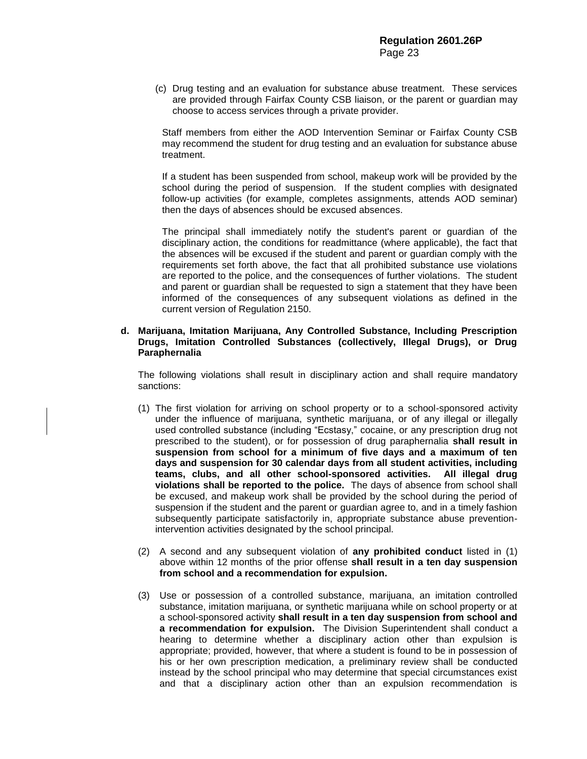(c) Drug testing and an evaluation for substance abuse treatment. These services are provided through Fairfax County CSB liaison, or the parent or guardian may choose to access services through a private provider.

Staff members from either the AOD Intervention Seminar or Fairfax County CSB may recommend the student for drug testing and an evaluation for substance abuse treatment.

If a student has been suspended from school, makeup work will be provided by the school during the period of suspension. If the student complies with designated follow-up activities (for example, completes assignments, attends AOD seminar) then the days of absences should be excused absences.

The principal shall immediately notify the student's parent or guardian of the disciplinary action, the conditions for readmittance (where applicable), the fact that the absences will be excused if the student and parent or guardian comply with the requirements set forth above, the fact that all prohibited substance use violations are reported to the police, and the consequences of further violations. The student and parent or guardian shall be requested to sign a statement that they have been informed of the consequences of any subsequent violations as defined in the current version of Regulation 2150.

## **d. Marijuana, Imitation Marijuana, Any Controlled Substance, Including Prescription Drugs, Imitation Controlled Substances (collectively, Illegal Drugs), or Drug Paraphernalia**

The following violations shall result in disciplinary action and shall require mandatory sanctions:

- (1) The first violation for arriving on school property or to a school-sponsored activity under the influence of marijuana, synthetic marijuana, or of any illegal or illegally used controlled substance (including "Ecstasy," cocaine, or any prescription drug not prescribed to the student), or for possession of drug paraphernalia **shall result in suspension from school for a minimum of five days and a maximum of ten days and suspension for 30 calendar days from all student activities, including teams, clubs, and all other school-sponsored activities. All illegal drug violations shall be reported to the police.** The days of absence from school shall be excused, and makeup work shall be provided by the school during the period of suspension if the student and the parent or guardian agree to, and in a timely fashion subsequently participate satisfactorily in, appropriate substance abuse preventionintervention activities designated by the school principal.
- (2) A second and any subsequent violation of **any prohibited conduct** listed in (1) above within 12 months of the prior offense **shall result in a ten day suspension from school and a recommendation for expulsion.**
- (3) Use or possession of a controlled substance, marijuana, an imitation controlled substance, imitation marijuana, or synthetic marijuana while on school property or at a school-sponsored activity **shall result in a ten day suspension from school and a recommendation for expulsion.** The Division Superintendent shall conduct a hearing to determine whether a disciplinary action other than expulsion is appropriate; provided, however, that where a student is found to be in possession of his or her own prescription medication, a preliminary review shall be conducted instead by the school principal who may determine that special circumstances exist and that a disciplinary action other than an expulsion recommendation is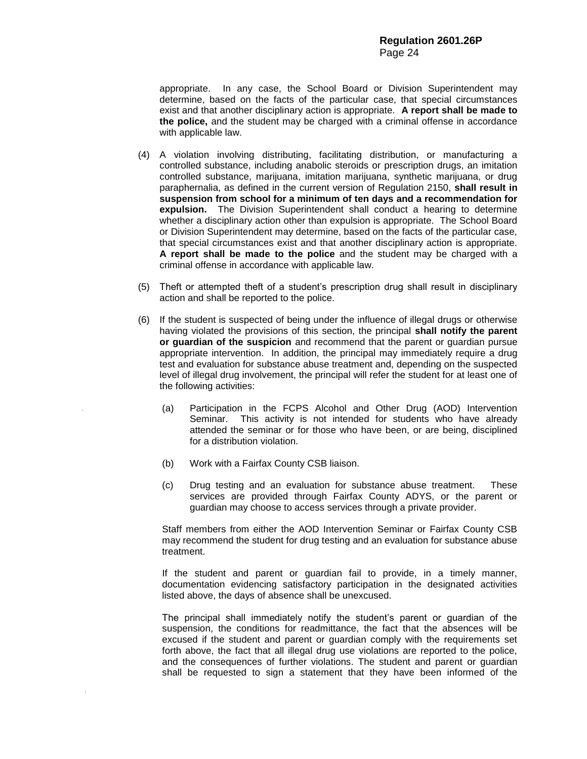appropriate. In any case, the School Board or Division Superintendent may determine, based on the facts of the particular case, that special circumstances exist and that another disciplinary action is appropriate. **A report shall be made to the police,** and the student may be charged with a criminal offense in accordance with applicable law.

- (4) A violation involving distributing, facilitating distribution, or manufacturing a controlled substance, including anabolic steroids or prescription drugs, an imitation controlled substance, marijuana, imitation marijuana, synthetic marijuana, or drug paraphernalia, as defined in the current version of Regulation 2150, **shall result in suspension from school for a minimum of ten days and a recommendation for expulsion.** The Division Superintendent shall conduct a hearing to determine whether a disciplinary action other than expulsion is appropriate. The School Board or Division Superintendent may determine, based on the facts of the particular case, that special circumstances exist and that another disciplinary action is appropriate. **A report shall be made to the police** and the student may be charged with a criminal offense in accordance with applicable law.
- (5) Theft or attempted theft of a student's prescription drug shall result in disciplinary action and shall be reported to the police.
- (6) If the student is suspected of being under the influence of illegal drugs or otherwise having violated the provisions of this section, the principal **shall notify the parent or guardian of the suspicion** and recommend that the parent or guardian pursue appropriate intervention. In addition, the principal may immediately require a drug test and evaluation for substance abuse treatment and, depending on the suspected level of illegal drug involvement, the principal will refer the student for at least one of the following activities:
	- (a) Participation in the FCPS Alcohol and Other Drug (AOD) Intervention Seminar. This activity is not intended for students who have already attended the seminar or for those who have been, or are being, disciplined for a distribution violation.
	- (b) Work with a Fairfax County CSB liaison.
	- (c) Drug testing and an evaluation for substance abuse treatment. These services are provided through Fairfax County ADYS, or the parent or guardian may choose to access services through a private provider.

Staff members from either the AOD Intervention Seminar or Fairfax County CSB may recommend the student for drug testing and an evaluation for substance abuse treatment.

If the student and parent or guardian fail to provide, in a timely manner, documentation evidencing satisfactory participation in the designated activities listed above, the days of absence shall be unexcused.

The principal shall immediately notify the student's parent or guardian of the suspension, the conditions for readmittance, the fact that the absences will be excused if the student and parent or guardian comply with the requirements set forth above, the fact that all illegal drug use violations are reported to the police, and the consequences of further violations. The student and parent or guardian shall be requested to sign a statement that they have been informed of the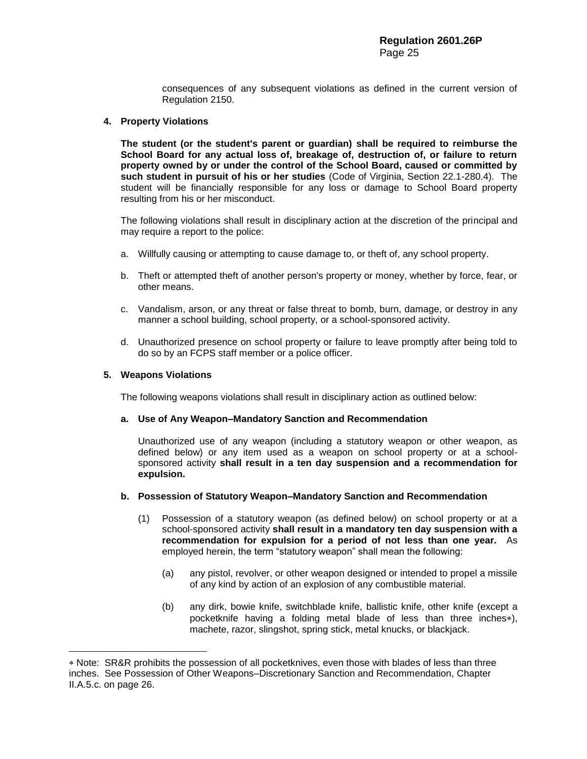consequences of any subsequent violations as defined in the current version of Regulation 2150.

## **4. Property Violations**

**The student (or the student's parent or guardian) shall be required to reimburse the School Board for any actual loss of, breakage of, destruction of, or failure to return property owned by or under the control of the School Board, caused or committed by such student in pursuit of his or her studies** (Code of Virginia, Section 22.1-280.4). The student will be financially responsible for any loss or damage to School Board property resulting from his or her misconduct.

The following violations shall result in disciplinary action at the discretion of the principal and may require a report to the police:

- a. Willfully causing or attempting to cause damage to, or theft of, any school property.
- b. Theft or attempted theft of another person's property or money, whether by force, fear, or other means.
- c. Vandalism, arson, or any threat or false threat to bomb, burn, damage, or destroy in any manner a school building, school property, or a school-sponsored activity.
- d. Unauthorized presence on school property or failure to leave promptly after being told to do so by an FCPS staff member or a police officer.

#### **5. Weapons Violations**

 $\overline{a}$ 

The following weapons violations shall result in disciplinary action as outlined below:

#### **a. Use of Any Weapon–Mandatory Sanction and Recommendation**

Unauthorized use of any weapon (including a statutory weapon or other weapon, as defined below) or any item used as a weapon on school property or at a schoolsponsored activity **shall result in a ten day suspension and a recommendation for expulsion.**

#### **b. Possession of Statutory Weapon–Mandatory Sanction and Recommendation**

- (1) Possession of a statutory weapon (as defined below) on school property or at a school-sponsored activity **shall result in a mandatory ten day suspension with a recommendation for expulsion for a period of not less than one year.** As employed herein, the term "statutory weapon" shall mean the following:
	- (a) any pistol, revolver, or other weapon designed or intended to propel a missile of any kind by action of an explosion of any combustible material.
	- (b) any dirk, bowie knife, switchblade knife, ballistic knife, other knife (except a pocketknife having a folding metal blade of less than three inches\*), machete, razor, slingshot, spring stick, metal knucks, or blackjack.

Note: SR&R prohibits the possession of all pocketknives, even those with blades of less than three inches. See Possession of Other Weapons–Discretionary Sanction and Recommendation, Chapter II.A.5.c. on page 26.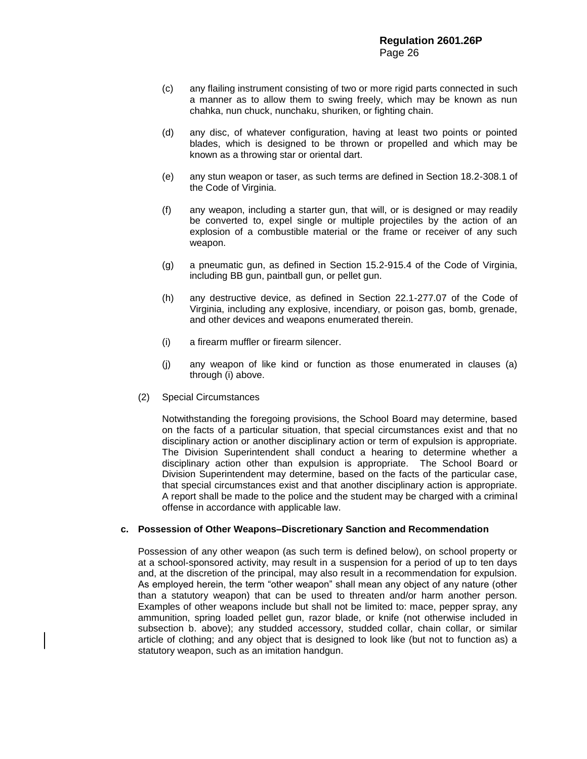- (c) any flailing instrument consisting of two or more rigid parts connected in such a manner as to allow them to swing freely, which may be known as nun chahka, nun chuck, nunchaku, shuriken, or fighting chain.
- (d) any disc, of whatever configuration, having at least two points or pointed blades, which is designed to be thrown or propelled and which may be known as a throwing star or oriental dart.
- (e) any stun weapon or taser, as such terms are defined in Section 18.2-308.1 of the Code of Virginia.
- (f) any weapon, including a starter gun, that will, or is designed or may readily be converted to, expel single or multiple projectiles by the action of an explosion of a combustible material or the frame or receiver of any such weapon.
- (g) a pneumatic gun, as defined in Section 15.2-915.4 of the Code of Virginia, including BB gun, paintball gun, or pellet gun.
- (h) any destructive device, as defined in Section 22.1-277.07 of the Code of Virginia, including any explosive, incendiary, or poison gas, bomb, grenade, and other devices and weapons enumerated therein.
- (i) a firearm muffler or firearm silencer.
- (j) any weapon of like kind or function as those enumerated in clauses (a) through (i) above.
- (2) Special Circumstances

Notwithstanding the foregoing provisions, the School Board may determine, based on the facts of a particular situation, that special circumstances exist and that no disciplinary action or another disciplinary action or term of expulsion is appropriate. The Division Superintendent shall conduct a hearing to determine whether a disciplinary action other than expulsion is appropriate. The School Board or Division Superintendent may determine, based on the facts of the particular case, that special circumstances exist and that another disciplinary action is appropriate. A report shall be made to the police and the student may be charged with a criminal offense in accordance with applicable law.

#### **c. Possession of Other Weapons–Discretionary Sanction and Recommendation**

Possession of any other weapon (as such term is defined below), on school property or at a school-sponsored activity, may result in a suspension for a period of up to ten days and, at the discretion of the principal, may also result in a recommendation for expulsion. As employed herein, the term "other weapon" shall mean any object of any nature (other than a statutory weapon) that can be used to threaten and/or harm another person. Examples of other weapons include but shall not be limited to: mace, pepper spray, any ammunition, spring loaded pellet gun, razor blade, or knife (not otherwise included in subsection b. above); any studded accessory, studded collar, chain collar, or similar article of clothing; and any object that is designed to look like (but not to function as) a statutory weapon, such as an imitation handgun.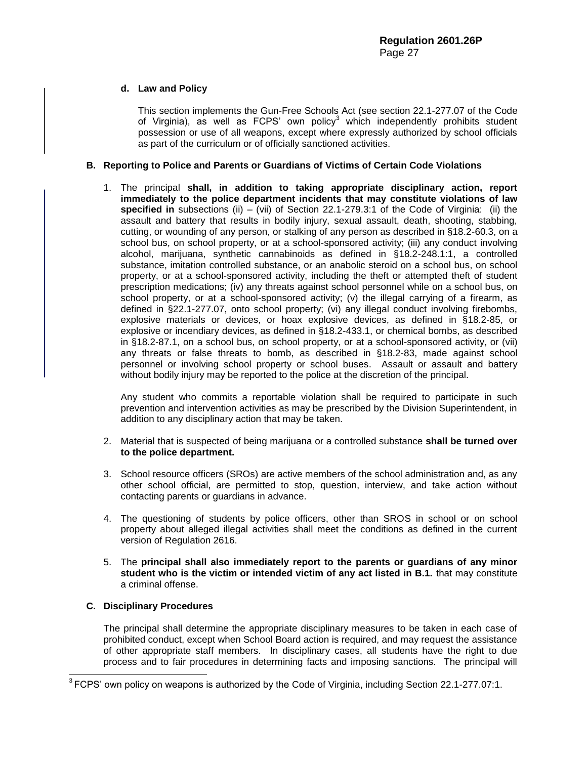# **d. Law and Policy**

This section implements the Gun-Free Schools Act (see section 22.1-277.07 of the Code of Virginia), as well as FCPS' own policy<sup>3</sup> which independently prohibits student possession or use of all weapons, except where expressly authorized by school officials as part of the curriculum or of officially sanctioned activities.

# **B. Reporting to Police and Parents or Guardians of Victims of Certain Code Violations**

1. The principal **shall, in addition to taking appropriate disciplinary action, report immediately to the police department incidents that may constitute violations of law specified in** subsections (ii) – (vii) of Section 22.1-279.3:1 of the Code of Virginia: (ii) the assault and battery that results in bodily injury, sexual assault, death, shooting, stabbing, cutting, or wounding of any person, or stalking of any person as described in §18.2-60.3, on a school bus, on school property, or at a school-sponsored activity; (iii) any conduct involving alcohol, marijuana, synthetic cannabinoids as defined in §18.2-248.1:1, a controlled substance, imitation controlled substance, or an anabolic steroid on a school bus, on school property, or at a school-sponsored activity, including the theft or attempted theft of student prescription medications; (iv) any threats against school personnel while on a school bus, on school property, or at a school-sponsored activity; (v) the illegal carrying of a firearm, as defined in §22.1-277.07, onto school property; (vi) any illegal conduct involving firebombs, explosive materials or devices, or hoax explosive devices, as defined in §18.2-85, or explosive or incendiary devices, as defined in §18.2-433.1, or chemical bombs, as described in §18.2-87.1, on a school bus, on school property, or at a school-sponsored activity, or (vii) any threats or false threats to bomb, as described in §18.2-83, made against school personnel or involving school property or school buses. Assault or assault and battery without bodily injury may be reported to the police at the discretion of the principal.

Any student who commits a reportable violation shall be required to participate in such prevention and intervention activities as may be prescribed by the Division Superintendent, in addition to any disciplinary action that may be taken.

- 2. Material that is suspected of being marijuana or a controlled substance **shall be turned over to the police department.**
- 3. School resource officers (SROs) are active members of the school administration and, as any other school official, are permitted to stop, question, interview, and take action without contacting parents or guardians in advance.
- 4. The questioning of students by police officers, other than SROS in school or on school property about alleged illegal activities shall meet the conditions as defined in the current version of Regulation 2616.
- 5. The **principal shall also immediately report to the parents or guardians of any minor student who is the victim or intended victim of any act listed in B.1.** that may constitute a criminal offense.

# **C. Disciplinary Procedures**

l

The principal shall determine the appropriate disciplinary measures to be taken in each case of prohibited conduct, except when School Board action is required, and may request the assistance of other appropriate staff members. In disciplinary cases, all students have the right to due process and to fair procedures in determining facts and imposing sanctions. The principal will

 $3$  FCPS' own policy on weapons is authorized by the Code of Virginia, including Section 22.1-277.07:1.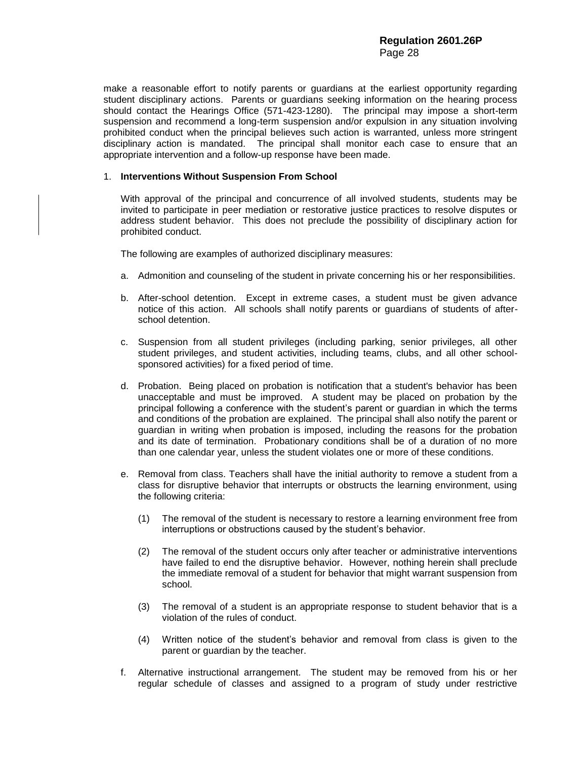make a reasonable effort to notify parents or guardians at the earliest opportunity regarding student disciplinary actions. Parents or guardians seeking information on the hearing process should contact the Hearings Office (571-423-1280). The principal may impose a short-term suspension and recommend a long-term suspension and/or expulsion in any situation involving prohibited conduct when the principal believes such action is warranted, unless more stringent disciplinary action is mandated. The principal shall monitor each case to ensure that an appropriate intervention and a follow-up response have been made.

# 1. **Interventions Without Suspension From School**

With approval of the principal and concurrence of all involved students, students may be invited to participate in peer mediation or restorative justice practices to resolve disputes or address student behavior. This does not preclude the possibility of disciplinary action for prohibited conduct.

The following are examples of authorized disciplinary measures:

- a. Admonition and counseling of the student in private concerning his or her responsibilities.
- b. After-school detention. Except in extreme cases, a student must be given advance notice of this action. All schools shall notify parents or guardians of students of afterschool detention.
- c. Suspension from all student privileges (including parking, senior privileges, all other student privileges, and student activities, including teams, clubs, and all other schoolsponsored activities) for a fixed period of time.
- d. Probation. Being placed on probation is notification that a student's behavior has been unacceptable and must be improved. A student may be placed on probation by the principal following a conference with the student's parent or guardian in which the terms and conditions of the probation are explained. The principal shall also notify the parent or guardian in writing when probation is imposed, including the reasons for the probation and its date of termination. Probationary conditions shall be of a duration of no more than one calendar year, unless the student violates one or more of these conditions.
- e. Removal from class. Teachers shall have the initial authority to remove a student from a class for disruptive behavior that interrupts or obstructs the learning environment, using the following criteria:
	- (1) The removal of the student is necessary to restore a learning environment free from interruptions or obstructions caused by the student's behavior.
	- (2) The removal of the student occurs only after teacher or administrative interventions have failed to end the disruptive behavior. However, nothing herein shall preclude the immediate removal of a student for behavior that might warrant suspension from school.
	- (3) The removal of a student is an appropriate response to student behavior that is a violation of the rules of conduct.
	- (4) Written notice of the student's behavior and removal from class is given to the parent or guardian by the teacher.
- f. Alternative instructional arrangement. The student may be removed from his or her regular schedule of classes and assigned to a program of study under restrictive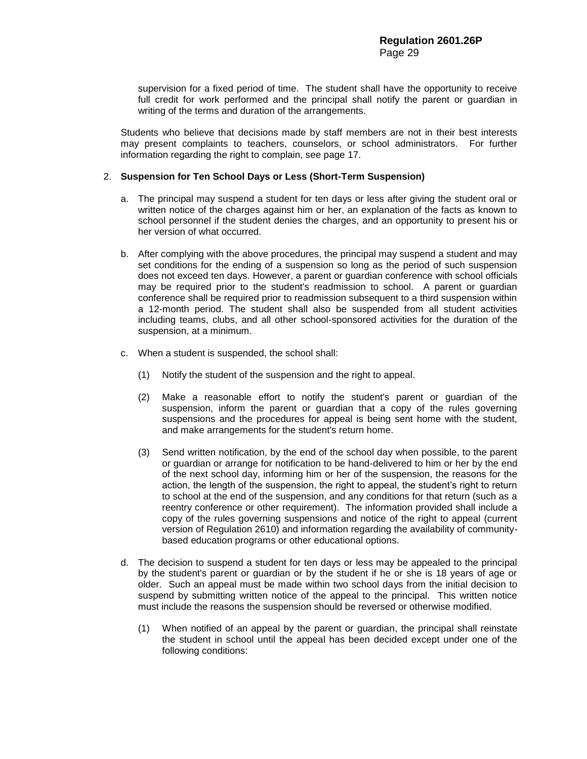supervision for a fixed period of time. The student shall have the opportunity to receive full credit for work performed and the principal shall notify the parent or guardian in writing of the terms and duration of the arrangements.

Students who believe that decisions made by staff members are not in their best interests may present complaints to teachers, counselors, or school administrators. For further information regarding the right to complain, see page 17.

# 2. **Suspension for Ten School Days or Less (Short-Term Suspension)**

- a. The principal may suspend a student for ten days or less after giving the student oral or written notice of the charges against him or her, an explanation of the facts as known to school personnel if the student denies the charges, and an opportunity to present his or her version of what occurred.
- b. After complying with the above procedures, the principal may suspend a student and may set conditions for the ending of a suspension so long as the period of such suspension does not exceed ten days. However, a parent or guardian conference with school officials may be required prior to the student's readmission to school. A parent or guardian conference shall be required prior to readmission subsequent to a third suspension within a 12-month period. The student shall also be suspended from all student activities including teams, clubs, and all other school-sponsored activities for the duration of the suspension, at a minimum.
- c. When a student is suspended, the school shall:
	- (1) Notify the student of the suspension and the right to appeal.
	- (2) Make a reasonable effort to notify the student's parent or guardian of the suspension, inform the parent or guardian that a copy of the rules governing suspensions and the procedures for appeal is being sent home with the student, and make arrangements for the student's return home.
	- (3) Send written notification, by the end of the school day when possible, to the parent or guardian or arrange for notification to be hand-delivered to him or her by the end of the next school day, informing him or her of the suspension, the reasons for the action, the length of the suspension, the right to appeal, the student's right to return to school at the end of the suspension, and any conditions for that return (such as a reentry conference or other requirement). The information provided shall include a copy of the rules governing suspensions and notice of the right to appeal (current version of Regulation 2610) and information regarding the availability of communitybased education programs or other educational options.
- d. The decision to suspend a student for ten days or less may be appealed to the principal by the student's parent or guardian or by the student if he or she is 18 years of age or older. Such an appeal must be made within two school days from the initial decision to suspend by submitting written notice of the appeal to the principal. This written notice must include the reasons the suspension should be reversed or otherwise modified.
	- (1) When notified of an appeal by the parent or guardian, the principal shall reinstate the student in school until the appeal has been decided except under one of the following conditions: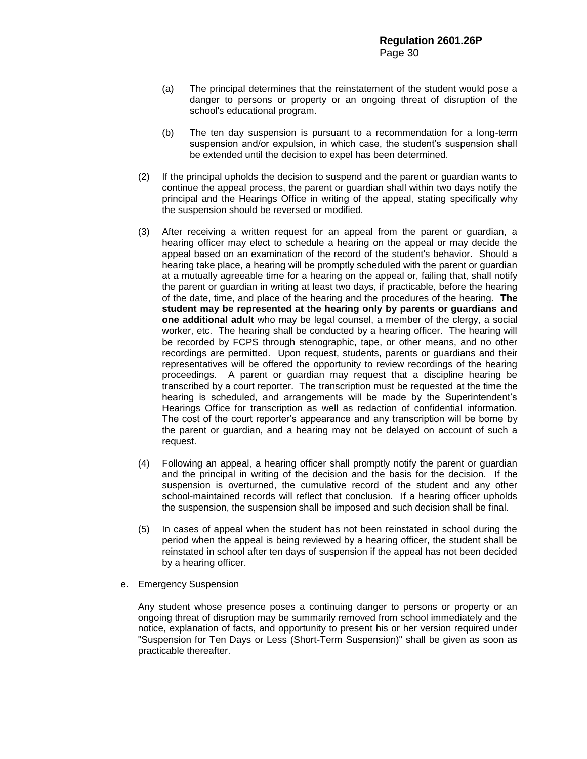- (a) The principal determines that the reinstatement of the student would pose a danger to persons or property or an ongoing threat of disruption of the school's educational program.
- (b) The ten day suspension is pursuant to a recommendation for a long-term suspension and/or expulsion, in which case, the student's suspension shall be extended until the decision to expel has been determined.
- (2) If the principal upholds the decision to suspend and the parent or guardian wants to continue the appeal process, the parent or guardian shall within two days notify the principal and the Hearings Office in writing of the appeal, stating specifically why the suspension should be reversed or modified.
- (3) After receiving a written request for an appeal from the parent or guardian, a hearing officer may elect to schedule a hearing on the appeal or may decide the appeal based on an examination of the record of the student's behavior. Should a hearing take place, a hearing will be promptly scheduled with the parent or guardian at a mutually agreeable time for a hearing on the appeal or, failing that, shall notify the parent or guardian in writing at least two days, if practicable, before the hearing of the date, time, and place of the hearing and the procedures of the hearing. **The student may be represented at the hearing only by parents or guardians and one additional adult** who may be legal counsel, a member of the clergy, a social worker, etc. The hearing shall be conducted by a hearing officer. The hearing will be recorded by FCPS through stenographic, tape, or other means, and no other recordings are permitted. Upon request, students, parents or guardians and their representatives will be offered the opportunity to review recordings of the hearing proceedings. A parent or guardian may request that a discipline hearing be transcribed by a court reporter. The transcription must be requested at the time the hearing is scheduled, and arrangements will be made by the Superintendent's Hearings Office for transcription as well as redaction of confidential information. The cost of the court reporter's appearance and any transcription will be borne by the parent or guardian, and a hearing may not be delayed on account of such a request.
- (4) Following an appeal, a hearing officer shall promptly notify the parent or guardian and the principal in writing of the decision and the basis for the decision. If the suspension is overturned, the cumulative record of the student and any other school-maintained records will reflect that conclusion. If a hearing officer upholds the suspension, the suspension shall be imposed and such decision shall be final.
- (5) In cases of appeal when the student has not been reinstated in school during the period when the appeal is being reviewed by a hearing officer, the student shall be reinstated in school after ten days of suspension if the appeal has not been decided by a hearing officer.
- e. Emergency Suspension

Any student whose presence poses a continuing danger to persons or property or an ongoing threat of disruption may be summarily removed from school immediately and the notice, explanation of facts, and opportunity to present his or her version required under "Suspension for Ten Days or Less (Short-Term Suspension)" shall be given as soon as practicable thereafter.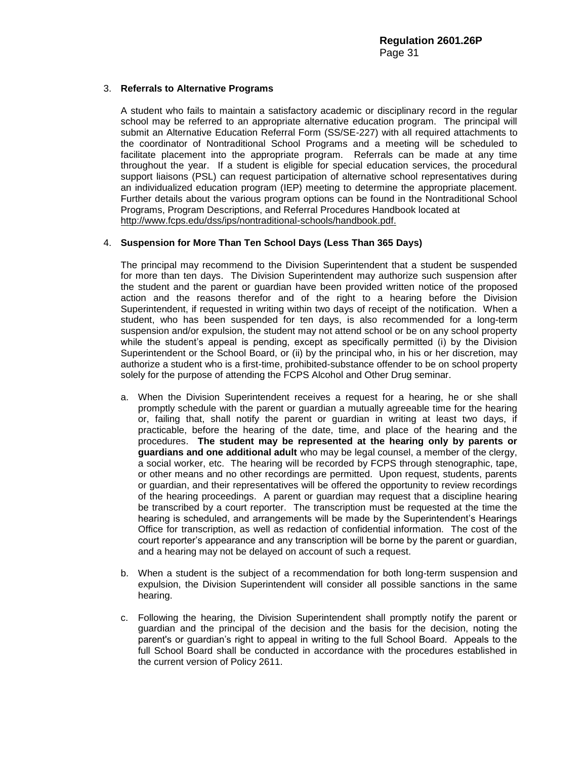# 3. **Referrals to Alternative Programs**

A student who fails to maintain a satisfactory academic or disciplinary record in the regular school may be referred to an appropriate alternative education program. The principal will submit an Alternative Education Referral Form (SS/SE-227) with all required attachments to the coordinator of Nontraditional School Programs and a meeting will be scheduled to facilitate placement into the appropriate program. Referrals can be made at any time throughout the year. If a student is eligible for special education services, the procedural support liaisons (PSL) can request participation of alternative school representatives during an individualized education program (IEP) meeting to determine the appropriate placement. Further details about the various program options can be found in the Nontraditional School Programs, Program Descriptions, and Referral Procedures Handbook located at [http://www.fcps.edu/dss/ips/nontraditional-schools/handbook.pdf.](http://www.fcps.edu/dss/ips/nontraditional-schools/handbook.pdf)

# 4. **Suspension for More Than Ten School Days (Less Than 365 Days)**

The principal may recommend to the Division Superintendent that a student be suspended for more than ten days. The Division Superintendent may authorize such suspension after the student and the parent or guardian have been provided written notice of the proposed action and the reasons therefor and of the right to a hearing before the Division Superintendent, if requested in writing within two days of receipt of the notification. When a student, who has been suspended for ten days, is also recommended for a long-term suspension and/or expulsion, the student may not attend school or be on any school property while the student's appeal is pending, except as specifically permitted (i) by the Division Superintendent or the School Board, or (ii) by the principal who, in his or her discretion, may authorize a student who is a first-time, prohibited-substance offender to be on school property solely for the purpose of attending the FCPS Alcohol and Other Drug seminar.

- a. When the Division Superintendent receives a request for a hearing, he or she shall promptly schedule with the parent or guardian a mutually agreeable time for the hearing or, failing that, shall notify the parent or guardian in writing at least two days, if practicable, before the hearing of the date, time, and place of the hearing and the procedures. **The student may be represented at the hearing only by parents or guardians and one additional adult** who may be legal counsel, a member of the clergy, a social worker, etc. The hearing will be recorded by FCPS through stenographic, tape, or other means and no other recordings are permitted. Upon request, students, parents or guardian, and their representatives will be offered the opportunity to review recordings of the hearing proceedings. A parent or guardian may request that a discipline hearing be transcribed by a court reporter. The transcription must be requested at the time the hearing is scheduled, and arrangements will be made by the Superintendent's Hearings Office for transcription, as well as redaction of confidential information. The cost of the court reporter's appearance and any transcription will be borne by the parent or guardian, and a hearing may not be delayed on account of such a request.
- b. When a student is the subject of a recommendation for both long-term suspension and expulsion, the Division Superintendent will consider all possible sanctions in the same hearing.
- c. Following the hearing, the Division Superintendent shall promptly notify the parent or guardian and the principal of the decision and the basis for the decision, noting the parent's or guardian's right to appeal in writing to the full School Board. Appeals to the full School Board shall be conducted in accordance with the procedures established in the current version of Policy 2611.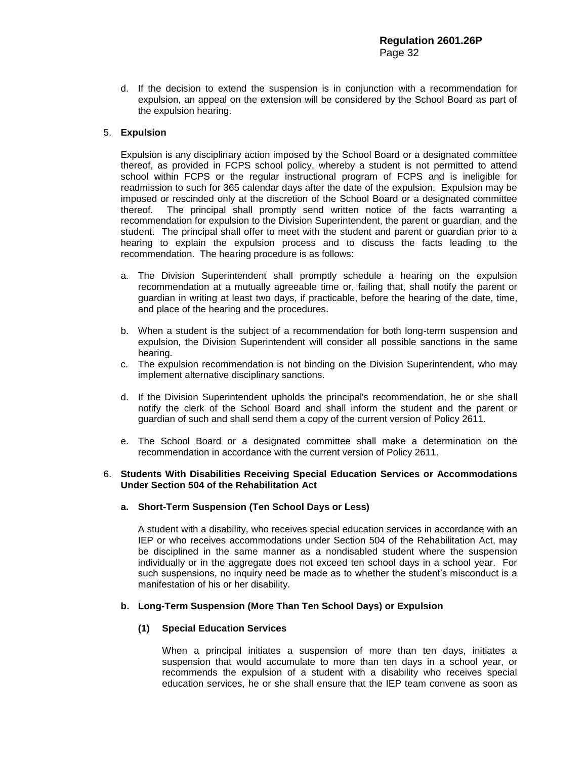d. If the decision to extend the suspension is in conjunction with a recommendation for expulsion, an appeal on the extension will be considered by the School Board as part of the expulsion hearing.

# 5. **Expulsion**

Expulsion is any disciplinary action imposed by the School Board or a designated committee thereof, as provided in FCPS school policy, whereby a student is not permitted to attend school within FCPS or the regular instructional program of FCPS and is ineligible for readmission to such for 365 calendar days after the date of the expulsion. Expulsion may be imposed or rescinded only at the discretion of the School Board or a designated committee thereof. The principal shall promptly send written notice of the facts warranting a recommendation for expulsion to the Division Superintendent, the parent or guardian, and the student. The principal shall offer to meet with the student and parent or guardian prior to a hearing to explain the expulsion process and to discuss the facts leading to the recommendation. The hearing procedure is as follows:

- a. The Division Superintendent shall promptly schedule a hearing on the expulsion recommendation at a mutually agreeable time or, failing that, shall notify the parent or guardian in writing at least two days, if practicable, before the hearing of the date, time, and place of the hearing and the procedures.
- b. When a student is the subject of a recommendation for both long-term suspension and expulsion, the Division Superintendent will consider all possible sanctions in the same hearing.
- c. The expulsion recommendation is not binding on the Division Superintendent, who may implement alternative disciplinary sanctions.
- d. If the Division Superintendent upholds the principal's recommendation, he or she shall notify the clerk of the School Board and shall inform the student and the parent or guardian of such and shall send them a copy of the current version of Policy 2611.
- e. The School Board or a designated committee shall make a determination on the recommendation in accordance with the current version of Policy 2611.

# 6. **Students With Disabilities Receiving Special Education Services or Accommodations Under Section 504 of the Rehabilitation Act**

# **a. Short-Term Suspension (Ten School Days or Less)**

A student with a disability, who receives special education services in accordance with an IEP or who receives accommodations under Section 504 of the Rehabilitation Act, may be disciplined in the same manner as a nondisabled student where the suspension individually or in the aggregate does not exceed ten school days in a school year. For such suspensions, no inquiry need be made as to whether the student's misconduct is a manifestation of his or her disability.

# **b. Long-Term Suspension (More Than Ten School Days) or Expulsion**

# **(1) Special Education Services**

When a principal initiates a suspension of more than ten days, initiates a suspension that would accumulate to more than ten days in a school year, or recommends the expulsion of a student with a disability who receives special education services, he or she shall ensure that the IEP team convene as soon as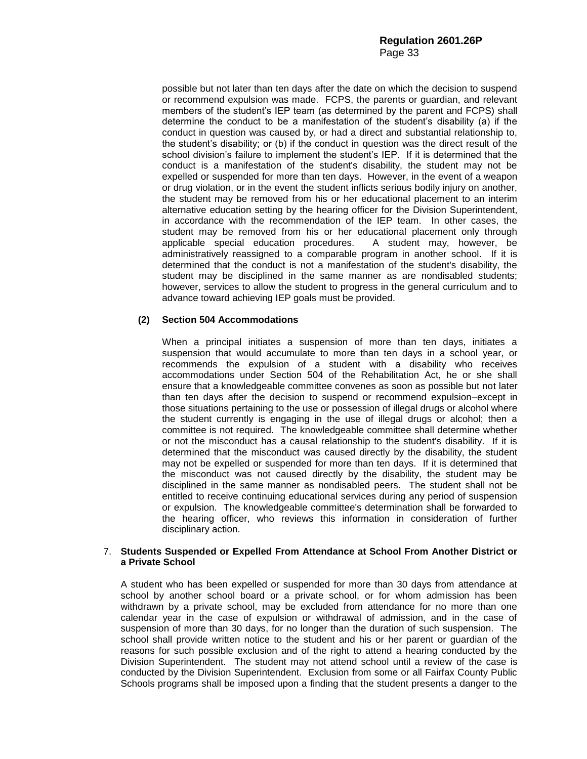possible but not later than ten days after the date on which the decision to suspend or recommend expulsion was made. FCPS, the parents or guardian, and relevant members of the student's IEP team (as determined by the parent and FCPS) shall determine the conduct to be a manifestation of the student's disability (a) if the conduct in question was caused by, or had a direct and substantial relationship to, the student's disability; or (b) if the conduct in question was the direct result of the school division's failure to implement the student's IEP. If it is determined that the conduct is a manifestation of the student's disability, the student may not be expelled or suspended for more than ten days. However, in the event of a weapon or drug violation, or in the event the student inflicts serious bodily injury on another, the student may be removed from his or her educational placement to an interim alternative education setting by the hearing officer for the Division Superintendent, in accordance with the recommendation of the IEP team. In other cases, the student may be removed from his or her educational placement only through applicable special education procedures. A student may, however, be administratively reassigned to a comparable program in another school. If it is determined that the conduct is not a manifestation of the student's disability, the student may be disciplined in the same manner as are nondisabled students; however, services to allow the student to progress in the general curriculum and to advance toward achieving IEP goals must be provided.

# **(2) Section 504 Accommodations**

When a principal initiates a suspension of more than ten days, initiates a suspension that would accumulate to more than ten days in a school year, or recommends the expulsion of a student with a disability who receives accommodations under Section 504 of the Rehabilitation Act, he or she shall ensure that a knowledgeable committee convenes as soon as possible but not later than ten days after the decision to suspend or recommend expulsion–except in those situations pertaining to the use or possession of illegal drugs or alcohol where the student currently is engaging in the use of illegal drugs or alcohol; then a committee is not required. The knowledgeable committee shall determine whether or not the misconduct has a causal relationship to the student's disability. If it is determined that the misconduct was caused directly by the disability, the student may not be expelled or suspended for more than ten days. If it is determined that the misconduct was not caused directly by the disability, the student may be disciplined in the same manner as nondisabled peers. The student shall not be entitled to receive continuing educational services during any period of suspension or expulsion. The knowledgeable committee's determination shall be forwarded to the hearing officer, who reviews this information in consideration of further disciplinary action.

# 7. **Students Suspended or Expelled From Attendance at School From Another District or a Private School**

A student who has been expelled or suspended for more than 30 days from attendance at school by another school board or a private school, or for whom admission has been withdrawn by a private school, may be excluded from attendance for no more than one calendar year in the case of expulsion or withdrawal of admission, and in the case of suspension of more than 30 days, for no longer than the duration of such suspension. The school shall provide written notice to the student and his or her parent or guardian of the reasons for such possible exclusion and of the right to attend a hearing conducted by the Division Superintendent. The student may not attend school until a review of the case is conducted by the Division Superintendent. Exclusion from some or all Fairfax County Public Schools programs shall be imposed upon a finding that the student presents a danger to the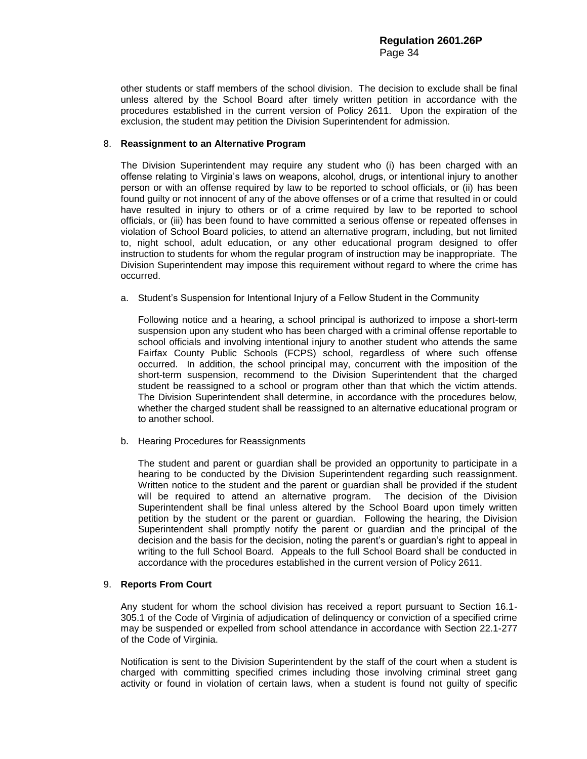other students or staff members of the school division. The decision to exclude shall be final unless altered by the School Board after timely written petition in accordance with the procedures established in the current version of Policy 2611. Upon the expiration of the exclusion, the student may petition the Division Superintendent for admission.

# 8. **Reassignment to an Alternative Program**

The Division Superintendent may require any student who (i) has been charged with an offense relating to Virginia's laws on weapons, alcohol, drugs, or intentional injury to another person or with an offense required by law to be reported to school officials, or (ii) has been found guilty or not innocent of any of the above offenses or of a crime that resulted in or could have resulted in injury to others or of a crime required by law to be reported to school officials, or (iii) has been found to have committed a serious offense or repeated offenses in violation of School Board policies, to attend an alternative program, including, but not limited to, night school, adult education, or any other educational program designed to offer instruction to students for whom the regular program of instruction may be inappropriate. The Division Superintendent may impose this requirement without regard to where the crime has occurred.

a. Student's Suspension for Intentional Injury of a Fellow Student in the Community

Following notice and a hearing, a school principal is authorized to impose a short-term suspension upon any student who has been charged with a criminal offense reportable to school officials and involving intentional injury to another student who attends the same Fairfax County Public Schools (FCPS) school, regardless of where such offense occurred. In addition, the school principal may, concurrent with the imposition of the short-term suspension, recommend to the Division Superintendent that the charged student be reassigned to a school or program other than that which the victim attends. The Division Superintendent shall determine, in accordance with the procedures below, whether the charged student shall be reassigned to an alternative educational program or to another school.

b. Hearing Procedures for Reassignments

The student and parent or guardian shall be provided an opportunity to participate in a hearing to be conducted by the Division Superintendent regarding such reassignment. Written notice to the student and the parent or guardian shall be provided if the student will be required to attend an alternative program. The decision of the Division Superintendent shall be final unless altered by the School Board upon timely written petition by the student or the parent or guardian. Following the hearing, the Division Superintendent shall promptly notify the parent or guardian and the principal of the decision and the basis for the decision, noting the parent's or guardian's right to appeal in writing to the full School Board. Appeals to the full School Board shall be conducted in accordance with the procedures established in the current version of Policy 2611.

# 9. **Reports From Court**

Any student for whom the school division has received a report pursuant to Section 16.1- 305.1 of the Code of Virginia of adjudication of delinquency or conviction of a specified crime may be suspended or expelled from school attendance in accordance with Section 22.1-277 of the Code of Virginia.

Notification is sent to the Division Superintendent by the staff of the court when a student is charged with committing specified crimes including those involving criminal street gang activity or found in violation of certain laws, when a student is found not guilty of specific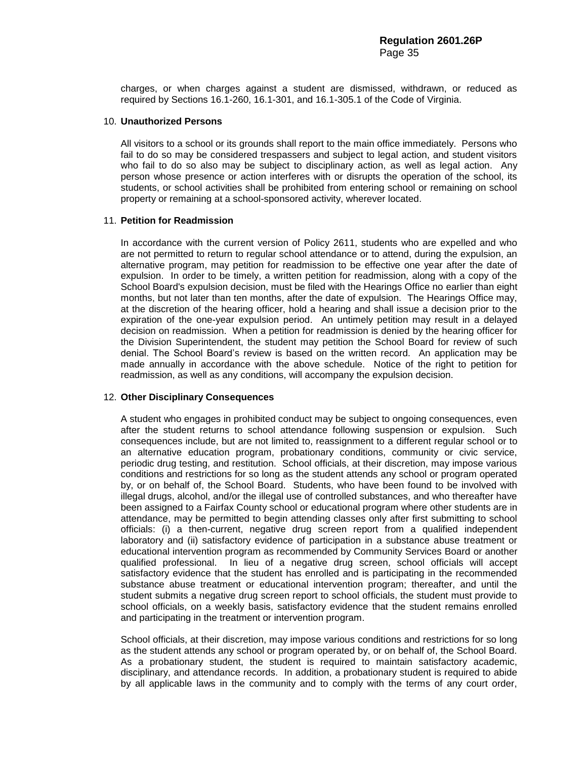charges, or when charges against a student are dismissed, withdrawn, or reduced as required by Sections 16.1-260, 16.1-301, and 16.1-305.1 of the Code of Virginia.

#### 10. **Unauthorized Persons**

All visitors to a school or its grounds shall report to the main office immediately. Persons who fail to do so may be considered trespassers and subject to legal action, and student visitors who fail to do so also may be subject to disciplinary action, as well as legal action. Any person whose presence or action interferes with or disrupts the operation of the school, its students, or school activities shall be prohibited from entering school or remaining on school property or remaining at a school-sponsored activity, wherever located.

#### 11. **Petition for Readmission**

In accordance with the current version of Policy 2611, students who are expelled and who are not permitted to return to regular school attendance or to attend, during the expulsion, an alternative program, may petition for readmission to be effective one year after the date of expulsion. In order to be timely, a written petition for readmission, along with a copy of the School Board's expulsion decision, must be filed with the Hearings Office no earlier than eight months, but not later than ten months, after the date of expulsion. The Hearings Office may, at the discretion of the hearing officer, hold a hearing and shall issue a decision prior to the expiration of the one-year expulsion period. An untimely petition may result in a delayed decision on readmission. When a petition for readmission is denied by the hearing officer for the Division Superintendent, the student may petition the School Board for review of such denial. The School Board's review is based on the written record. An application may be made annually in accordance with the above schedule. Notice of the right to petition for readmission, as well as any conditions, will accompany the expulsion decision.

# 12. **Other Disciplinary Consequences**

A student who engages in prohibited conduct may be subject to ongoing consequences, even after the student returns to school attendance following suspension or expulsion. Such consequences include, but are not limited to, reassignment to a different regular school or to an alternative education program, probationary conditions, community or civic service, periodic drug testing, and restitution. School officials, at their discretion, may impose various conditions and restrictions for so long as the student attends any school or program operated by, or on behalf of, the School Board. Students, who have been found to be involved with illegal drugs, alcohol, and/or the illegal use of controlled substances, and who thereafter have been assigned to a Fairfax County school or educational program where other students are in attendance, may be permitted to begin attending classes only after first submitting to school officials: (i) a then-current, negative drug screen report from a qualified independent laboratory and (ii) satisfactory evidence of participation in a substance abuse treatment or educational intervention program as recommended by Community Services Board or another qualified professional. In lieu of a negative drug screen, school officials will accept satisfactory evidence that the student has enrolled and is participating in the recommended substance abuse treatment or educational intervention program; thereafter, and until the student submits a negative drug screen report to school officials, the student must provide to school officials, on a weekly basis, satisfactory evidence that the student remains enrolled and participating in the treatment or intervention program.

School officials, at their discretion, may impose various conditions and restrictions for so long as the student attends any school or program operated by, or on behalf of, the School Board. As a probationary student, the student is required to maintain satisfactory academic, disciplinary, and attendance records. In addition, a probationary student is required to abide by all applicable laws in the community and to comply with the terms of any court order,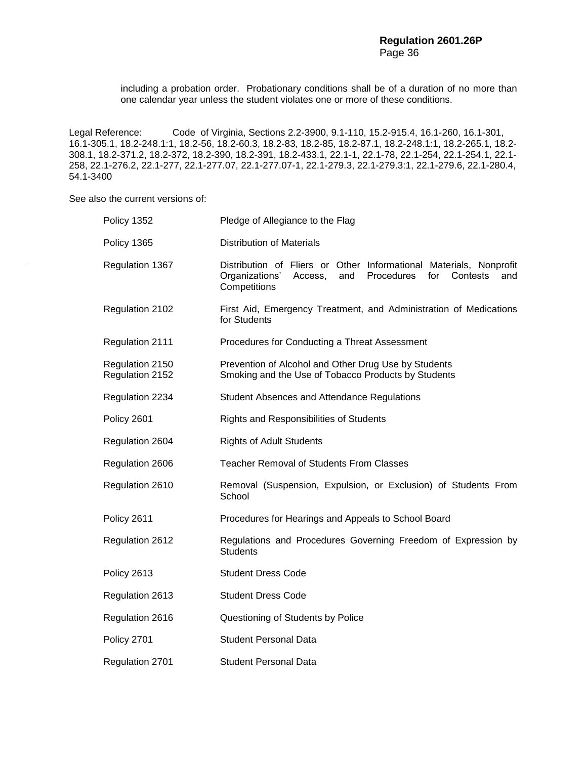including a probation order. Probationary conditions shall be of a duration of no more than one calendar year unless the student violates one or more of these conditions.

Legal Reference: Code of Virginia, Sections 2.2-3900, 9.1-110, 15.2-915.4, 16.1-260, 16.1-301, 16.1-305.1, 18.2-248.1:1, 18.2-56, 18.2-60.3, 18.2-83, 18.2-85, 18.2-87.1, 18.2-248.1:1, 18.2-265.1, 18.2- 308.1, 18.2-371.2, 18.2-372, 18.2-390, 18.2-391, 18.2-433.1, 22.1-1, 22.1-78, 22.1-254, 22.1-254.1, 22.1- 258, 22.1-276.2, 22.1-277, 22.1-277.07, 22.1-277.07-1, 22.1-279.3, 22.1-279.3:1, 22.1-279.6, 22.1-280.4, 54.1-3400

See also the current versions of:

| Policy 1352                        | Pledge of Allegiance to the Flag                                                                                                                               |  |
|------------------------------------|----------------------------------------------------------------------------------------------------------------------------------------------------------------|--|
| Policy 1365                        | <b>Distribution of Materials</b>                                                                                                                               |  |
| Regulation 1367                    | Distribution of Fliers or Other Informational Materials, Nonprofit<br>Organizations'<br>and<br>Procedures<br>for<br>Contests<br>Access,<br>and<br>Competitions |  |
| Regulation 2102                    | First Aid, Emergency Treatment, and Administration of Medications<br>for Students                                                                              |  |
| Regulation 2111                    | Procedures for Conducting a Threat Assessment                                                                                                                  |  |
| Regulation 2150<br>Regulation 2152 | Prevention of Alcohol and Other Drug Use by Students<br>Smoking and the Use of Tobacco Products by Students                                                    |  |
| Regulation 2234                    | <b>Student Absences and Attendance Regulations</b>                                                                                                             |  |
| Policy 2601                        | Rights and Responsibilities of Students                                                                                                                        |  |
| Regulation 2604                    | <b>Rights of Adult Students</b>                                                                                                                                |  |
| Regulation 2606                    | <b>Teacher Removal of Students From Classes</b>                                                                                                                |  |
| Regulation 2610                    | Removal (Suspension, Expulsion, or Exclusion) of Students From<br>School                                                                                       |  |
| Policy 2611                        | Procedures for Hearings and Appeals to School Board                                                                                                            |  |
| Regulation 2612                    | Regulations and Procedures Governing Freedom of Expression by<br><b>Students</b>                                                                               |  |
| Policy 2613                        | <b>Student Dress Code</b>                                                                                                                                      |  |
| Regulation 2613                    | <b>Student Dress Code</b>                                                                                                                                      |  |
| Regulation 2616                    | Questioning of Students by Police                                                                                                                              |  |
| Policy 2701                        | <b>Student Personal Data</b>                                                                                                                                   |  |
| <b>Regulation 2701</b>             | <b>Student Personal Data</b>                                                                                                                                   |  |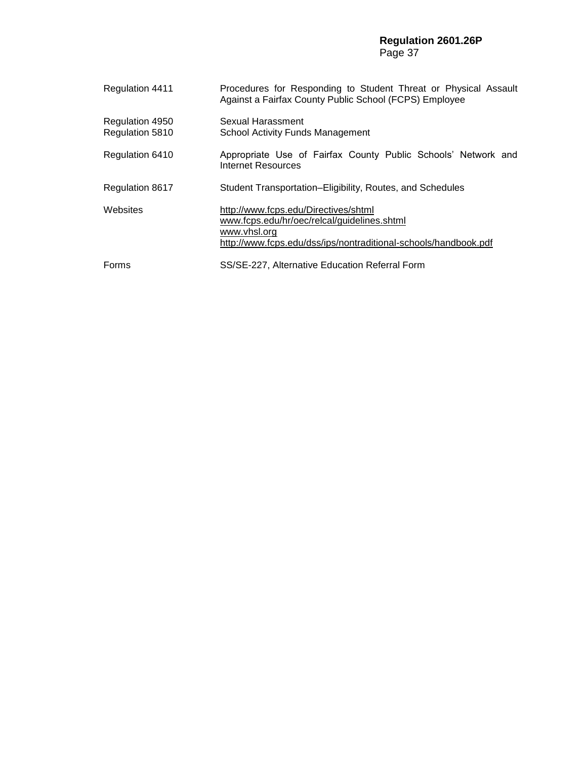# **Regulation 2601.26P** Page 37

| <b>Regulation 4411</b>             | Procedures for Responding to Student Threat or Physical Assault<br>Against a Fairfax County Public School (FCPS) Employee                                              |  |
|------------------------------------|------------------------------------------------------------------------------------------------------------------------------------------------------------------------|--|
| Regulation 4950<br>Regulation 5810 | Sexual Harassment<br>School Activity Funds Management                                                                                                                  |  |
| Regulation 6410                    | Appropriate Use of Fairfax County Public Schools' Network and<br>Internet Resources                                                                                    |  |
| <b>Regulation 8617</b>             | Student Transportation–Eligibility, Routes, and Schedules                                                                                                              |  |
| Websites                           | http://www.fcps.edu/Directives/shtml<br>www.fcps.edu/hr/oec/relcal/guidelines.shtml<br>www.vhsl.org<br>http://www.fcps.edu/dss/ips/nontraditional-schools/handbook.pdf |  |
| Forms                              | SS/SE-227, Alternative Education Referral Form                                                                                                                         |  |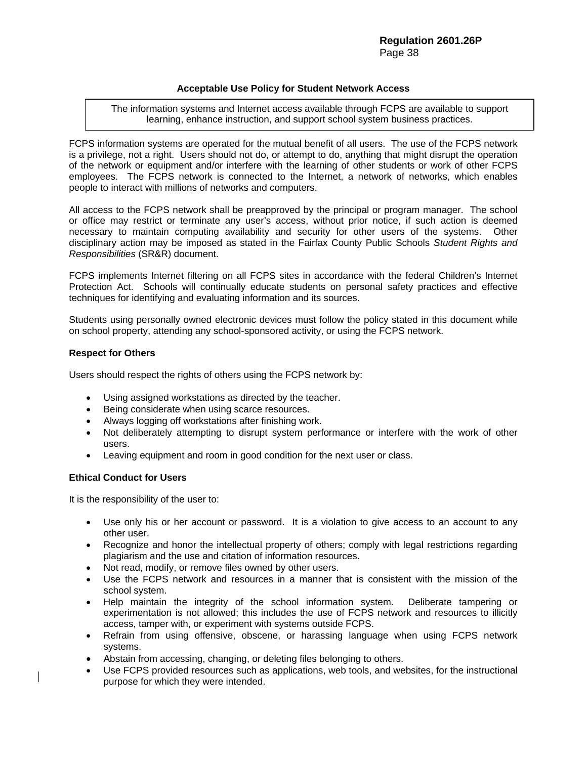# **Acceptable Use Policy for Student Network Access**

The information systems and Internet access available through FCPS are available to support learning, enhance instruction, and support school system business practices.

FCPS information systems are operated for the mutual benefit of all users. The use of the FCPS network is a privilege, not a right. Users should not do, or attempt to do, anything that might disrupt the operation of the network or equipment and/or interfere with the learning of other students or work of other FCPS employees. The FCPS network is connected to the Internet, a network of networks, which enables people to interact with millions of networks and computers.

All access to the FCPS network shall be preapproved by the principal or program manager. The school or office may restrict or terminate any user's access, without prior notice, if such action is deemed necessary to maintain computing availability and security for other users of the systems. Other disciplinary action may be imposed as stated in the Fairfax County Public Schools *Student Rights and Responsibilities* (SR&R) document.

FCPS implements Internet filtering on all FCPS sites in accordance with the federal Children's Internet Protection Act. Schools will continually educate students on personal safety practices and effective techniques for identifying and evaluating information and its sources.

Students using personally owned electronic devices must follow the policy stated in this document while on school property, attending any school-sponsored activity, or using the FCPS network.

# **Respect for Others**

Users should respect the rights of others using the FCPS network by:

- Using assigned workstations as directed by the teacher.
- Being considerate when using scarce resources.
- Always logging off workstations after finishing work.
- Not deliberately attempting to disrupt system performance or interfere with the work of other users.
- Leaving equipment and room in good condition for the next user or class.

# **Ethical Conduct for Users**

It is the responsibility of the user to:

- Use only his or her account or password. It is a violation to give access to an account to any other user.
- Recognize and honor the intellectual property of others; comply with legal restrictions regarding plagiarism and the use and citation of information resources.
- Not read, modify, or remove files owned by other users.
- Use the FCPS network and resources in a manner that is consistent with the mission of the school system.
- Help maintain the integrity of the school information system. Deliberate tampering or experimentation is not allowed; this includes the use of FCPS network and resources to illicitly access, tamper with, or experiment with systems outside FCPS.
- Refrain from using offensive, obscene, or harassing language when using FCPS network systems.
- Abstain from accessing, changing, or deleting files belonging to others.
- Use FCPS provided resources such as applications, web tools, and websites, for the instructional purpose for which they were intended.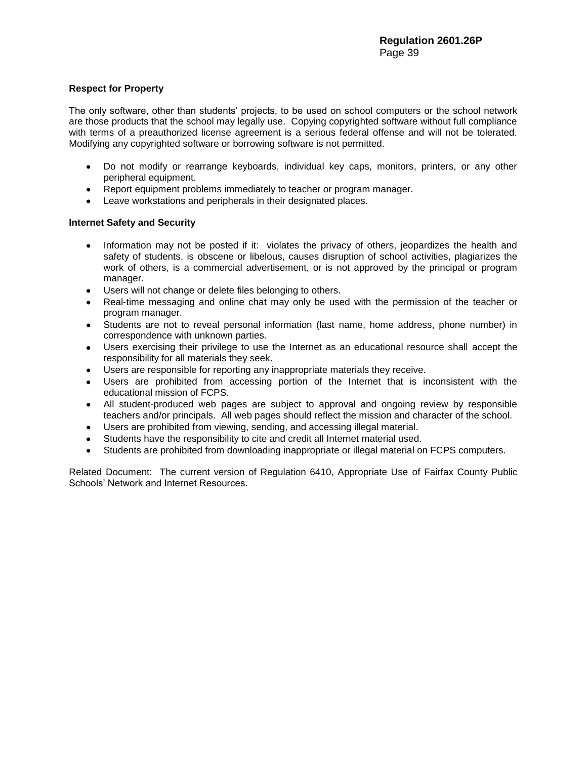# **Respect for Property**

The only software, other than students' projects, to be used on school computers or the school network are those products that the school may legally use. Copying copyrighted software without full compliance with terms of a preauthorized license agreement is a serious federal offense and will not be tolerated. Modifying any copyrighted software or borrowing software is not permitted.

- Do not modify or rearrange keyboards, individual key caps, monitors, printers, or any other  $\bullet$ peripheral equipment.
- Report equipment problems immediately to teacher or program manager.
- Leave workstations and peripherals in their designated places.

# **Internet Safety and Security**

- Information may not be posted if it: violates the privacy of others, ieopardizes the health and safety of students, is obscene or libelous, causes disruption of school activities, plagiarizes the work of others, is a commercial advertisement, or is not approved by the principal or program manager.
- Users will not change or delete files belonging to others.
- Real-time messaging and online chat may only be used with the permission of the teacher or program manager.
- Students are not to reveal personal information (last name, home address, phone number) in  $\bullet$ correspondence with unknown parties.
- Users exercising their privilege to use the Internet as an educational resource shall accept the responsibility for all materials they seek.
- Users are responsible for reporting any inappropriate materials they receive.
- Users are prohibited from accessing portion of the Internet that is inconsistent with the educational mission of FCPS.
- All student-produced web pages are subject to approval and ongoing review by responsible teachers and/or principals. All web pages should reflect the mission and character of the school.
- Users are prohibited from viewing, sending, and accessing illegal material.
- Students have the responsibility to cite and credit all Internet material used.
- Students are prohibited from downloading inappropriate or illegal material on FCPS computers.  $\bullet$

Related Document: The current version of Regulation 6410, Appropriate Use of Fairfax County Public Schools' Network and Internet Resources.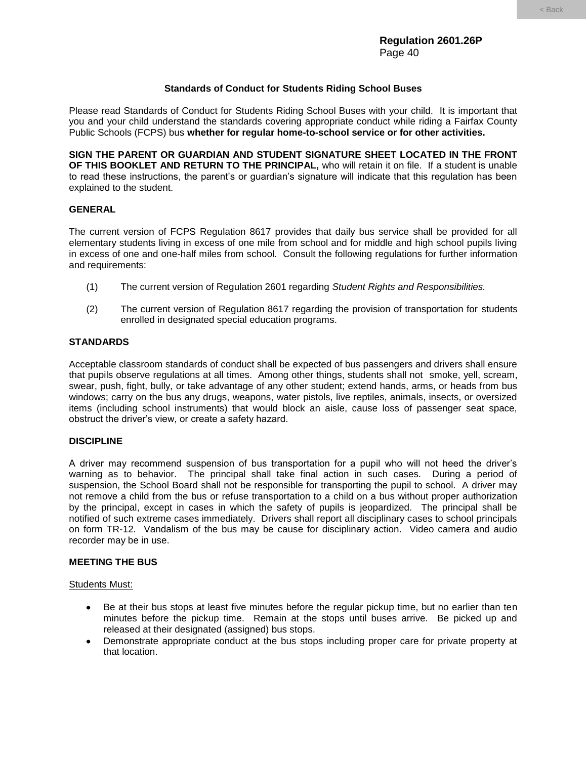# **Standards of Conduct for Students Riding School Buses**

Please read Standards of Conduct for Students Riding School Buses with your child. It is important that you and your child understand the standards covering appropriate conduct while riding a Fairfax County Public Schools (FCPS) bus **whether for regular home-to-school service or for other activities.**

**SIGN THE PARENT OR GUARDIAN AND STUDENT SIGNATURE SHEET LOCATED IN THE FRONT OF THIS BOOKLET AND RETURN TO THE PRINCIPAL,** who will retain it on file. If a student is unable to read these instructions, the parent's or guardian's signature will indicate that this regulation has been explained to the student.

# **GENERAL**

The current version of FCPS Regulation 8617 provides that daily bus service shall be provided for all elementary students living in excess of one mile from school and for middle and high school pupils living in excess of one and one-half miles from school. Consult the following regulations for further information and requirements:

- (1) The current version of Regulation 2601 regarding *Student Rights and Responsibilities.*
- (2) The current version of Regulation 8617 regarding the provision of transportation for students enrolled in designated special education programs.

# **STANDARDS**

Acceptable classroom standards of conduct shall be expected of bus passengers and drivers shall ensure that pupils observe regulations at all times. Among other things, students shall not smoke, yell, scream, swear, push, fight, bully, or take advantage of any other student; extend hands, arms, or heads from bus windows; carry on the bus any drugs, weapons, water pistols, live reptiles, animals, insects, or oversized items (including school instruments) that would block an aisle, cause loss of passenger seat space, obstruct the driver's view, or create a safety hazard.

# **DISCIPLINE**

A driver may recommend suspension of bus transportation for a pupil who will not heed the driver's warning as to behavior. The principal shall take final action in such cases. During a period of suspension, the School Board shall not be responsible for transporting the pupil to school. A driver may not remove a child from the bus or refuse transportation to a child on a bus without proper authorization by the principal, except in cases in which the safety of pupils is jeopardized. The principal shall be notified of such extreme cases immediately. Drivers shall report all disciplinary cases to school principals on form TR-12. Vandalism of the bus may be cause for disciplinary action. Video camera and audio recorder may be in use.

# **MEETING THE BUS**

# Students Must:

- Be at their bus stops at least five minutes before the regular pickup time, but no earlier than ten minutes before the pickup time. Remain at the stops until buses arrive. Be picked up and released at their designated (assigned) bus stops.
- Demonstrate appropriate conduct at the bus stops including proper care for private property at that location.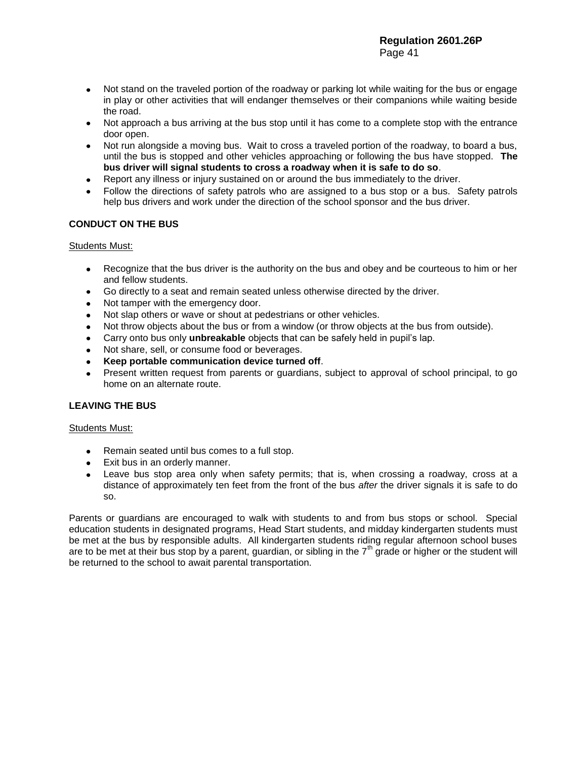- Not stand on the traveled portion of the roadway or parking lot while waiting for the bus or engage in play or other activities that will endanger themselves or their companions while waiting beside the road.
- Not approach a bus arriving at the bus stop until it has come to a complete stop with the entrance door open.
- Not run alongside a moving bus. Wait to cross a traveled portion of the roadway, to board a bus, until the bus is stopped and other vehicles approaching or following the bus have stopped. **The bus driver will signal students to cross a roadway when it is safe to do so**.
- Report any illness or injury sustained on or around the bus immediately to the driver.
- Follow the directions of safety patrols who are assigned to a bus stop or a bus. Safety patrols help bus drivers and work under the direction of the school sponsor and the bus driver.

# **CONDUCT ON THE BUS**

# Students Must:

- Recognize that the bus driver is the authority on the bus and obey and be courteous to him or her  $\bullet$ and fellow students.
- Go directly to a seat and remain seated unless otherwise directed by the driver.
- Not tamper with the emergency door.
- $\bullet$ Not slap others or wave or shout at pedestrians or other vehicles.
- Not throw objects about the bus or from a window (or throw objects at the bus from outside).
- Carry onto bus only **unbreakable** objects that can be safely held in pupil's lap.  $\bullet$
- Not share, sell, or consume food or beverages.  $\bullet$
- **Keep portable communication device turned off**.
- Present written request from parents or guardians, subject to approval of school principal, to go home on an alternate route.

# **LEAVING THE BUS**

# Students Must:

- Remain seated until bus comes to a full stop.
- Exit bus in an orderly manner.
- Leave bus stop area only when safety permits; that is, when crossing a roadway, cross at a distance of approximately ten feet from the front of the bus *after* the driver signals it is safe to do so.

Parents or guardians are encouraged to walk with students to and from bus stops or school. Special education students in designated programs, Head Start students, and midday kindergarten students must be met at the bus by responsible adults. All kindergarten students riding regular afternoon school buses are to be met at their bus stop by a parent, guardian, or sibling in the 7<sup>th</sup> grade or higher or the student will be returned to the school to await parental transportation.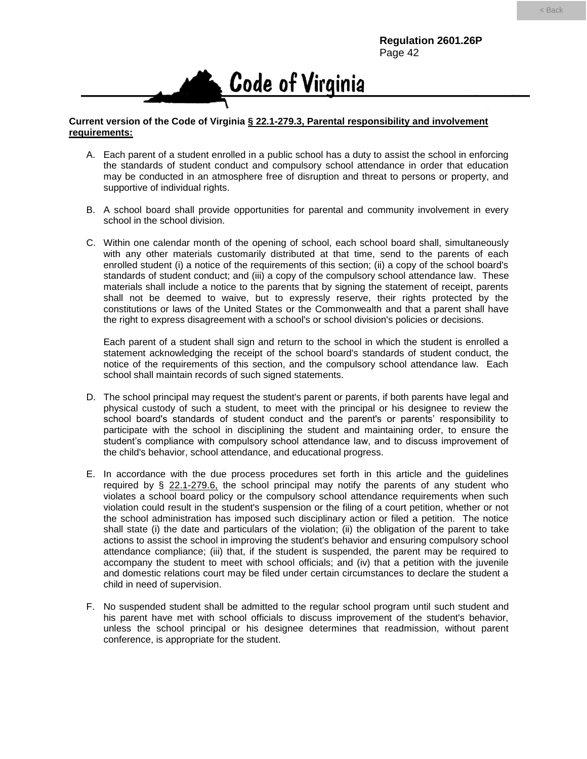

# **Current version of the Code of Virginia § 22.1-279.3, Parental responsibility and involvement requirements:**

- A. Each parent of a student enrolled in a public school has a duty to assist the school in enforcing the standards of student conduct and compulsory school attendance in order that education may be conducted in an atmosphere free of disruption and threat to persons or property, and supportive of individual rights.
- B. A school board shall provide opportunities for parental and community involvement in every school in the school division.
- C. Within one calendar month of the opening of school, each school board shall, simultaneously with any other materials customarily distributed at that time, send to the parents of each enrolled student (i) a notice of the requirements of this section; (ii) a copy of the school board's standards of student conduct; and (iii) a copy of the compulsory school attendance law. These materials shall include a notice to the parents that by signing the statement of receipt, parents shall not be deemed to waive, but to expressly reserve, their rights protected by the constitutions or laws of the United States or the Commonwealth and that a parent shall have the right to express disagreement with a school's or school division's policies or decisions.

Each parent of a student shall sign and return to the school in which the student is enrolled a statement acknowledging the receipt of the school board's standards of student conduct, the notice of the requirements of this section, and the compulsory school attendance law. Each school shall maintain records of such signed statements.

- D. The school principal may request the student's parent or parents, if both parents have legal and physical custody of such a student, to meet with the principal or his designee to review the school board's standards of student conduct and the parent's or parents' responsibility to participate with the school in disciplining the student and maintaining order, to ensure the student's compliance with compulsory school attendance law, and to discuss improvement of the child's behavior, school attendance, and educational progress.
- E. In accordance with the due process procedures set forth in this article and the guidelines required by  $\S$  22.1-279.6, the school principal may notify the parents of any student who violates a school board policy or the compulsory school attendance requirements when such violation could result in the student's suspension or the filing of a court petition, whether or not the school administration has imposed such disciplinary action or filed a petition. The notice shall state (i) the date and particulars of the violation; (ii) the obligation of the parent to take actions to assist the school in improving the student's behavior and ensuring compulsory school attendance compliance; (iii) that, if the student is suspended, the parent may be required to accompany the student to meet with school officials; and (iv) that a petition with the juvenile and domestic relations court may be filed under certain circumstances to declare the student a child in need of supervision.
- F. No suspended student shall be admitted to the regular school program until such student and his parent have met with school officials to discuss improvement of the student's behavior, unless the school principal or his designee determines that readmission, without parent conference, is appropriate for the student.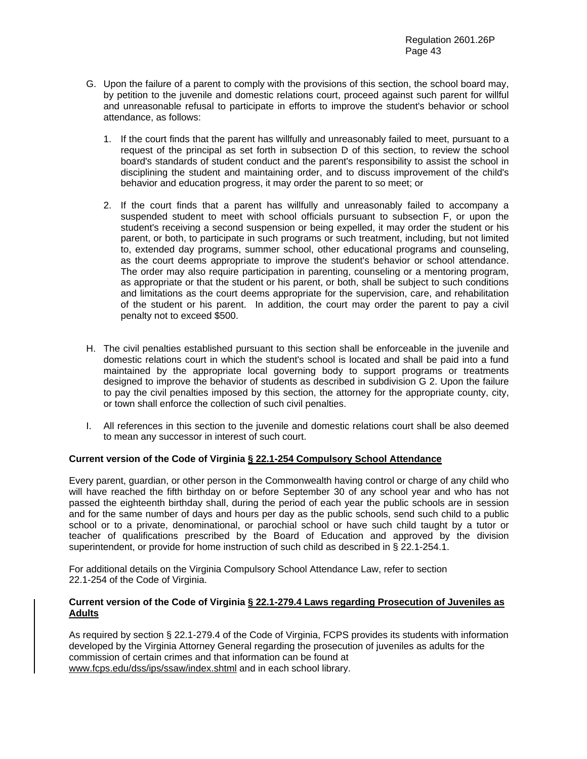- G. Upon the failure of a parent to comply with the provisions of this section, the school board may, by petition to the juvenile and domestic relations court, proceed against such parent for willful and unreasonable refusal to participate in efforts to improve the student's behavior or school attendance, as follows:
	- 1. If the court finds that the parent has willfully and unreasonably failed to meet, pursuant to a request of the principal as set forth in subsection D of this section, to review the school board's standards of student conduct and the parent's responsibility to assist the school in disciplining the student and maintaining order, and to discuss improvement of the child's behavior and education progress, it may order the parent to so meet; or
	- 2. If the court finds that a parent has willfully and unreasonably failed to accompany a suspended student to meet with school officials pursuant to subsection F, or upon the student's receiving a second suspension or being expelled, it may order the student or his parent, or both, to participate in such programs or such treatment, including, but not limited to, extended day programs, summer school, other educational programs and counseling, as the court deems appropriate to improve the student's behavior or school attendance. The order may also require participation in parenting, counseling or a mentoring program, as appropriate or that the student or his parent, or both, shall be subject to such conditions and limitations as the court deems appropriate for the supervision, care, and rehabilitation of the student or his parent. In addition, the court may order the parent to pay a civil penalty not to exceed \$500.
- H. The civil penalties established pursuant to this section shall be enforceable in the juvenile and domestic relations court in which the student's school is located and shall be paid into a fund maintained by the appropriate local governing body to support programs or treatments designed to improve the behavior of students as described in subdivision G 2. Upon the failure to pay the civil penalties imposed by this section, the attorney for the appropriate county, city, or town shall enforce the collection of such civil penalties.
- I. All references in this section to the juvenile and domestic relations court shall be also deemed to mean any successor in interest of such court.

# **Current version of the Code of Virginia § 22.1-254 Compulsory School Attendance**

Every parent, guardian, or other person in the Commonwealth having control or charge of any child who will have reached the fifth birthday on or before September 30 of any school year and who has not passed the eighteenth birthday shall, during the period of each year the public schools are in session and for the same number of days and hours per day as the public schools, send such child to a public school or to a private, denominational, or parochial school or have such child taught by a tutor or teacher of qualifications prescribed by the Board of Education and approved by the division superintendent, or provide for home instruction of such child as described in § 22.1-254.1.

For additional details on the Virginia Compulsory School Attendance Law, refer to section 22.1-254 of the Code of Virginia.

# **Current version of the Code of Virginia § 22.1-279.4 Laws regarding Prosecution of Juveniles as Adults**

As required by section § 22.1-279.4 of the Code of Virginia, FCPS provides its students with information developed by the Virginia Attorney General regarding the prosecution of juveniles as adults for the commission of certain crimes and that information can be found at www.fcps.edu/dss/ips/ssaw/index.shtml and in each school library.